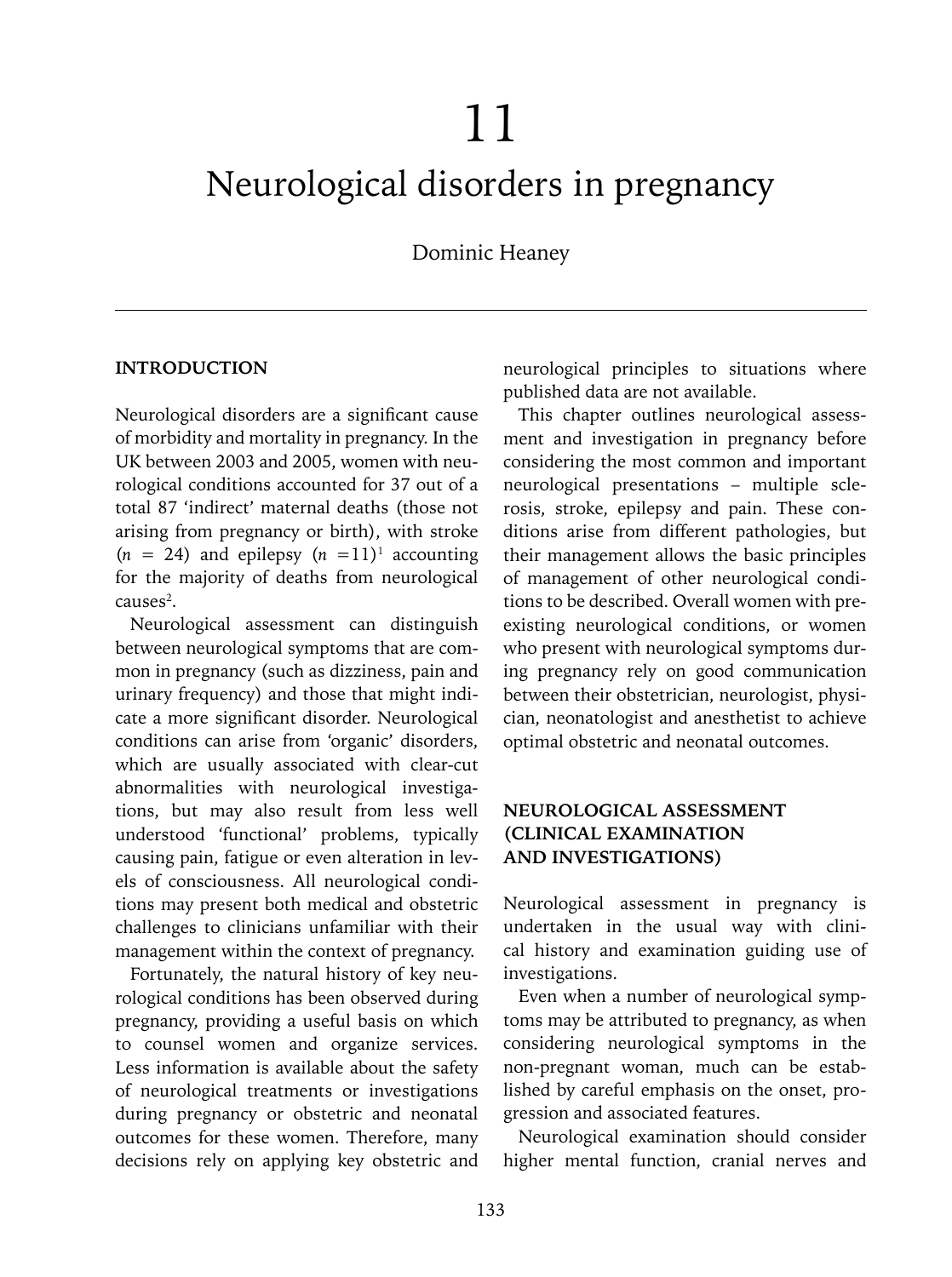# 11

# Neurological disorders in pregnancy

Dominic Heaney

#### **Introduction**

Neurological disorders are a significant cause of morbidity and mortality in pregnancy. In the UK between 2003 and 2005, women with neurological conditions accounted for 37 out of a total 87 'indirect' maternal deaths (those not arising from pregnancy or birth), with stroke  $(n = 24)$  and epilepsy  $(n = 11)^1$  accounting for the majority of deaths from neurological  $causes<sup>2</sup>$ .

Neurological assessment can distinguish between neurological symptoms that are common in pregnancy (such as dizziness, pain and urinary frequency) and those that might indicate a more significant disorder. Neurological conditions can arise from 'organic' disorders, which are usually associated with clear-cut abnormalities with neurological investigations, but may also result from less well understood 'functional' problems, typically causing pain, fatigue or even alteration in levels of consciousness. All neurological conditions may present both medical and obstetric challenges to clinicians unfamiliar with their management within the context of pregnancy.

Fortunately, the natural history of key neurological conditions has been observed during pregnancy, providing a useful basis on which to counsel women and organize services. Less information is available about the safety of neurological treatments or investigations during pregnancy or obstetric and neonatal outcomes for these women. Therefore, many decisions rely on applying key obstetric and

neurological principles to situations where published data are not available.

This chapter outlines neurological assessment and investigation in pregnancy before considering the most common and important neurological presentations – multiple sclerosis, stroke, epilepsy and pain. These conditions arise from different pathologies, but their management allows the basic principles of management of other neurological conditions to be described. Overall women with preexisting neurological conditions, or women who present with neurological symptoms during pregnancy rely on good communication between their obstetrician, neurologist, physician, neonatologist and anesthetist to achieve optimal obstetric and neonatal outcomes.

# **NEUROLOGICAL ASSESSMENT (CLINICAL EXAMINATION AND INVESTIGATIONS)**

Neurological assessment in pregnancy is undertaken in the usual way with clinical history and examination guiding use of investigations.

Even when a number of neurological symptoms may be attributed to pregnancy, as when considering neurological symptoms in the non-pregnant woman, much can be established by careful emphasis on the onset, progression and associated features.

Neurological examination should consider higher mental function, cranial nerves and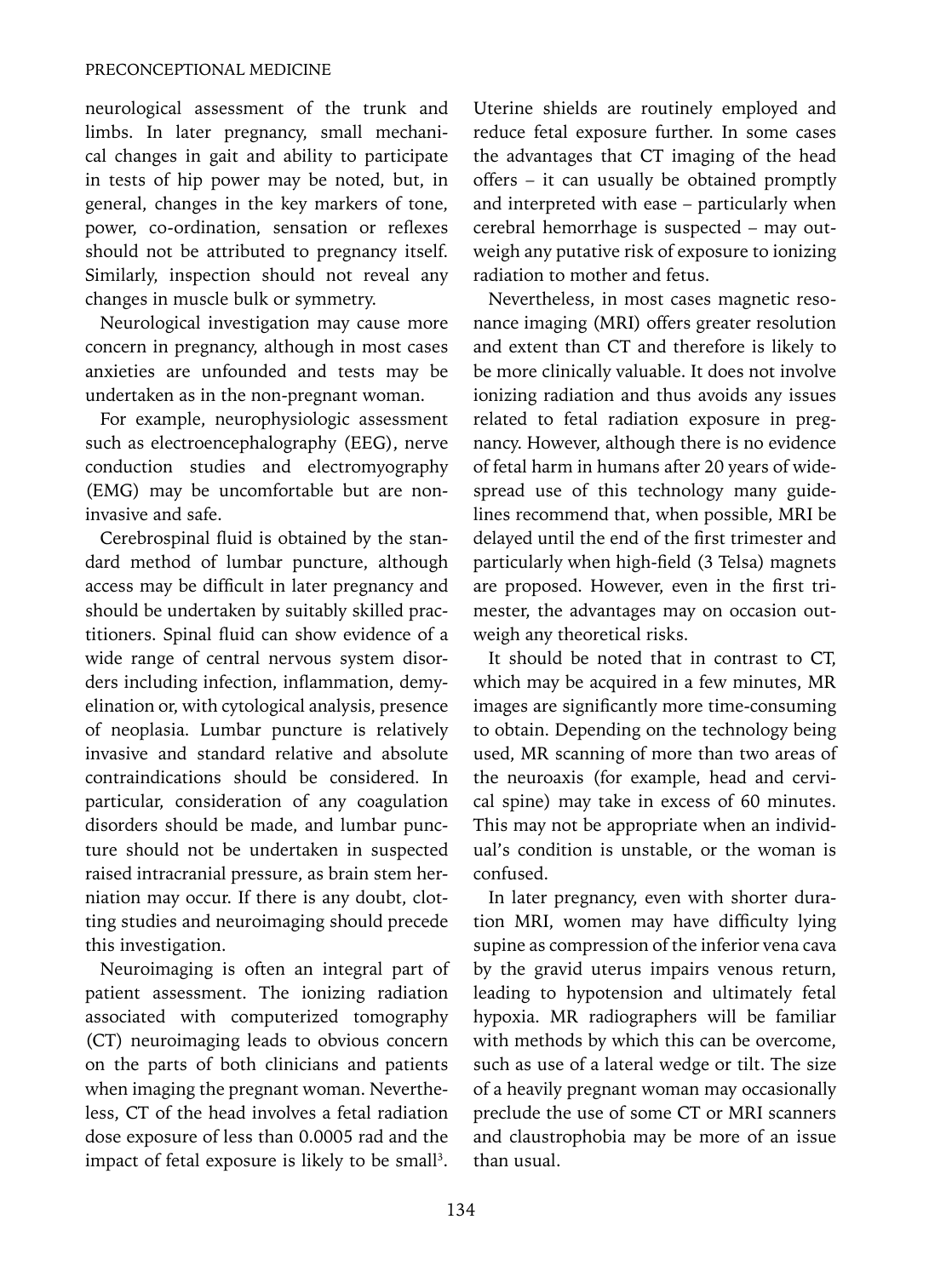neurological assessment of the trunk and limbs. In later pregnancy, small mechanical changes in gait and ability to participate in tests of hip power may be noted, but, in general, changes in the key markers of tone, power, co-ordination, sensation or reflexes should not be attributed to pregnancy itself. Similarly, inspection should not reveal any changes in muscle bulk or symmetry.

Neurological investigation may cause more concern in pregnancy, although in most cases anxieties are unfounded and tests may be undertaken as in the non-pregnant woman.

For example, neurophysiologic assessment such as electroencephalography (EEG), nerve conduction studies and electromyography (EMG) may be uncomfortable but are noninvasive and safe.

Cerebrospinal fluid is obtained by the standard method of lumbar puncture, although access may be difficult in later pregnancy and should be undertaken by suitably skilled practitioners. Spinal fluid can show evidence of a wide range of central nervous system disorders including infection, inflammation, demyelination or, with cytological analysis, presence of neoplasia. Lumbar puncture is relatively invasive and standard relative and absolute contraindications should be considered. In particular, consideration of any coagulation disorders should be made, and lumbar puncture should not be undertaken in suspected raised intracranial pressure, as brain stem herniation may occur. If there is any doubt, clotting studies and neuroimaging should precede this investigation.

Neuroimaging is often an integral part of patient assessment. The ionizing radiation associated with computerized tomography (CT) neuroimaging leads to obvious concern on the parts of both clinicians and patients when imaging the pregnant woman. Nevertheless, CT of the head involves a fetal radiation dose exposure of less than 0.0005 rad and the impact of fetal exposure is likely to be small<sup>3</sup>. Uterine shields are routinely employed and reduce fetal exposure further. In some cases the advantages that CT imaging of the head offers – it can usually be obtained promptly and interpreted with ease – particularly when cerebral hemorrhage is suspected – may outweigh any putative risk of exposure to ionizing radiation to mother and fetus.

Nevertheless, in most cases magnetic resonance imaging (MRI) offers greater resolution and extent than CT and therefore is likely to be more clinically valuable. It does not involve ionizing radiation and thus avoids any issues related to fetal radiation exposure in pregnancy. However, although there is no evidence of fetal harm in humans after 20 years of widespread use of this technology many guidelines recommend that, when possible, MRI be delayed until the end of the first trimester and particularly when high-field (3 Telsa) magnets are proposed. However, even in the first trimester, the advantages may on occasion outweigh any theoretical risks.

It should be noted that in contrast to CT, which may be acquired in a few minutes, MR images are significantly more time-consuming to obtain. Depending on the technology being used, MR scanning of more than two areas of the neuroaxis (for example, head and cervical spine) may take in excess of 60 minutes. This may not be appropriate when an individual's condition is unstable, or the woman is confused.

In later pregnancy, even with shorter duration MRI, women may have difficulty lying supine as compression of the inferior vena cava by the gravid uterus impairs venous return, leading to hypotension and ultimately fetal hypoxia. MR radiographers will be familiar with methods by which this can be overcome, such as use of a lateral wedge or tilt. The size of a heavily pregnant woman may occasionally preclude the use of some CT or MRI scanners and claustrophobia may be more of an issue than usual.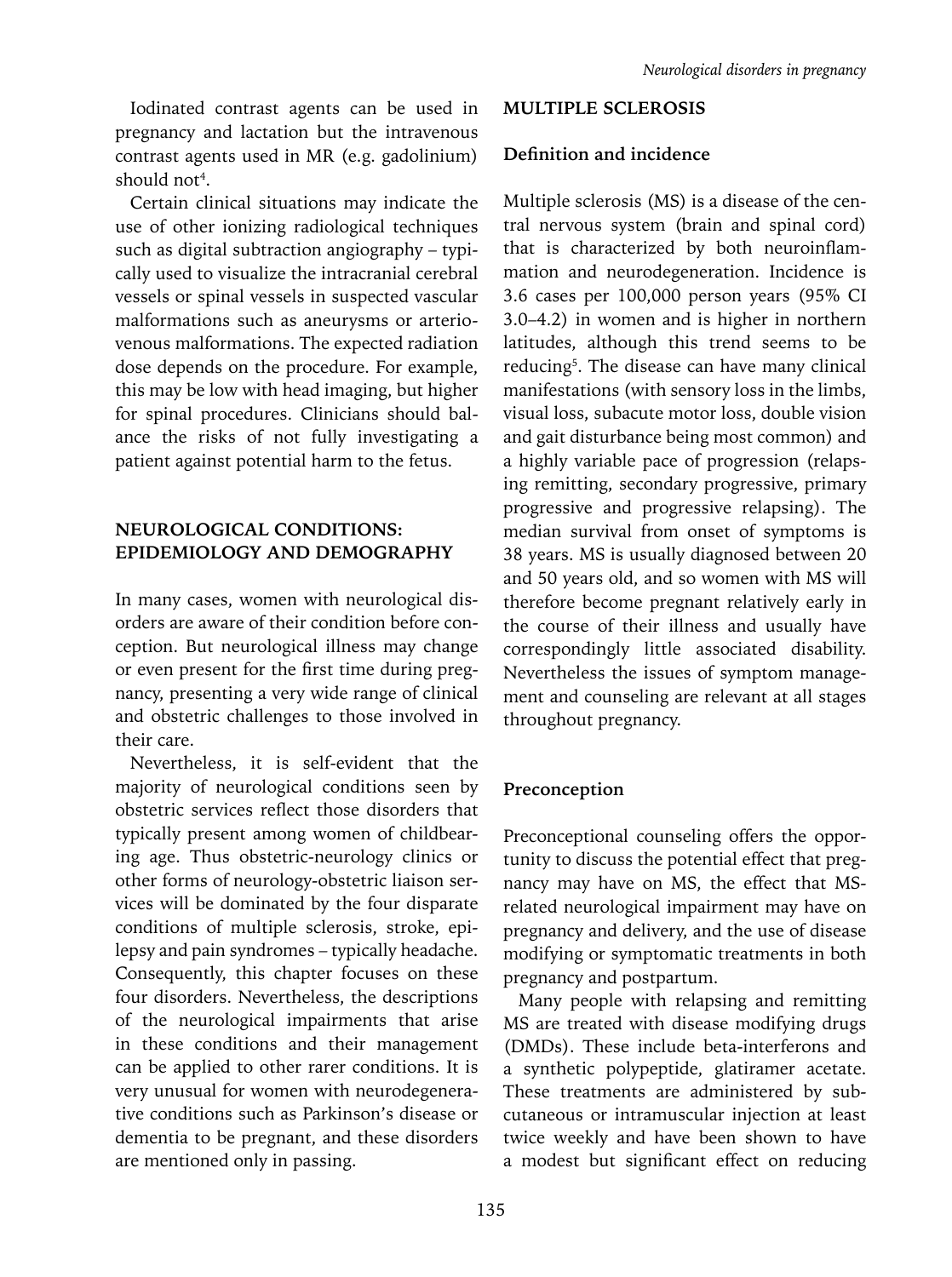Iodinated contrast agents can be used in pregnancy and lactation but the intravenous contrast agents used in MR (e.g. gadolinium) should not<sup>4</sup>.

Certain clinical situations may indicate the use of other ionizing radiological techniques such as digital subtraction angiography – typically used to visualize the intracranial cerebral vessels or spinal vessels in suspected vascular malformations such as aneurysms or arteriovenous malformations. The expected radiation dose depends on the procedure. For example, this may be low with head imaging, but higher for spinal procedures. Clinicians should balance the risks of not fully investigating a patient against potential harm to the fetus.

#### **NEUROLOGICAL CONDITIONS: EPIDEMIOLOGY AND DEMOGRAPHY**

In many cases, women with neurological disorders are aware of their condition before conception. But neurological illness may change or even present for the first time during pregnancy, presenting a very wide range of clinical and obstetric challenges to those involved in their care.

Nevertheless, it is self-evident that the majority of neurological conditions seen by obstetric services reflect those disorders that typically present among women of childbearing age. Thus obstetric-neurology clinics or other forms of neurology-obstetric liaison services will be dominated by the four disparate conditions of multiple sclerosis, stroke, epilepsy and pain syndromes – typically headache. Consequently, this chapter focuses on these four disorders. Nevertheless, the descriptions of the neurological impairments that arise in these conditions and their management can be applied to other rarer conditions. It is very unusual for women with neurodegenerative conditions such as Parkinson's disease or dementia to be pregnant, and these disorders are mentioned only in passing.

# **MULTIPLE SCLEROSIS**

#### **Definition and incidence**

Multiple sclerosis (MS) is a disease of the central nervous system (brain and spinal cord) that is characterized by both neuroinflammation and neurodegeneration. Incidence is 3.6 cases per 100,000 person years (95% CI 3.0–4.2) in women and is higher in northern latitudes, although this trend seems to be reducing<sup>5</sup>. The disease can have many clinical manifestations (with sensory loss in the limbs, visual loss, subacute motor loss, double vision and gait disturbance being most common) and a highly variable pace of progression (relapsing remitting, secondary progressive, primary progressive and progressive relapsing). The median survival from onset of symptoms is 38 years. MS is usually diagnosed between 20 and 50 years old, and so women with MS will therefore become pregnant relatively early in the course of their illness and usually have correspondingly little associated disability. Nevertheless the issues of symptom management and counseling are relevant at all stages throughout pregnancy.

#### **Preconception**

Preconceptional counseling offers the opportunity to discuss the potential effect that pregnancy may have on MS, the effect that MSrelated neurological impairment may have on pregnancy and delivery, and the use of disease modifying or symptomatic treatments in both pregnancy and postpartum.

Many people with relapsing and remitting MS are treated with disease modifying drugs (DMDs). These include beta-interferons and a synthetic polypeptide, glatiramer acetate. These treatments are administered by subcutaneous or intramuscular injection at least twice weekly and have been shown to have a modest but significant effect on reducing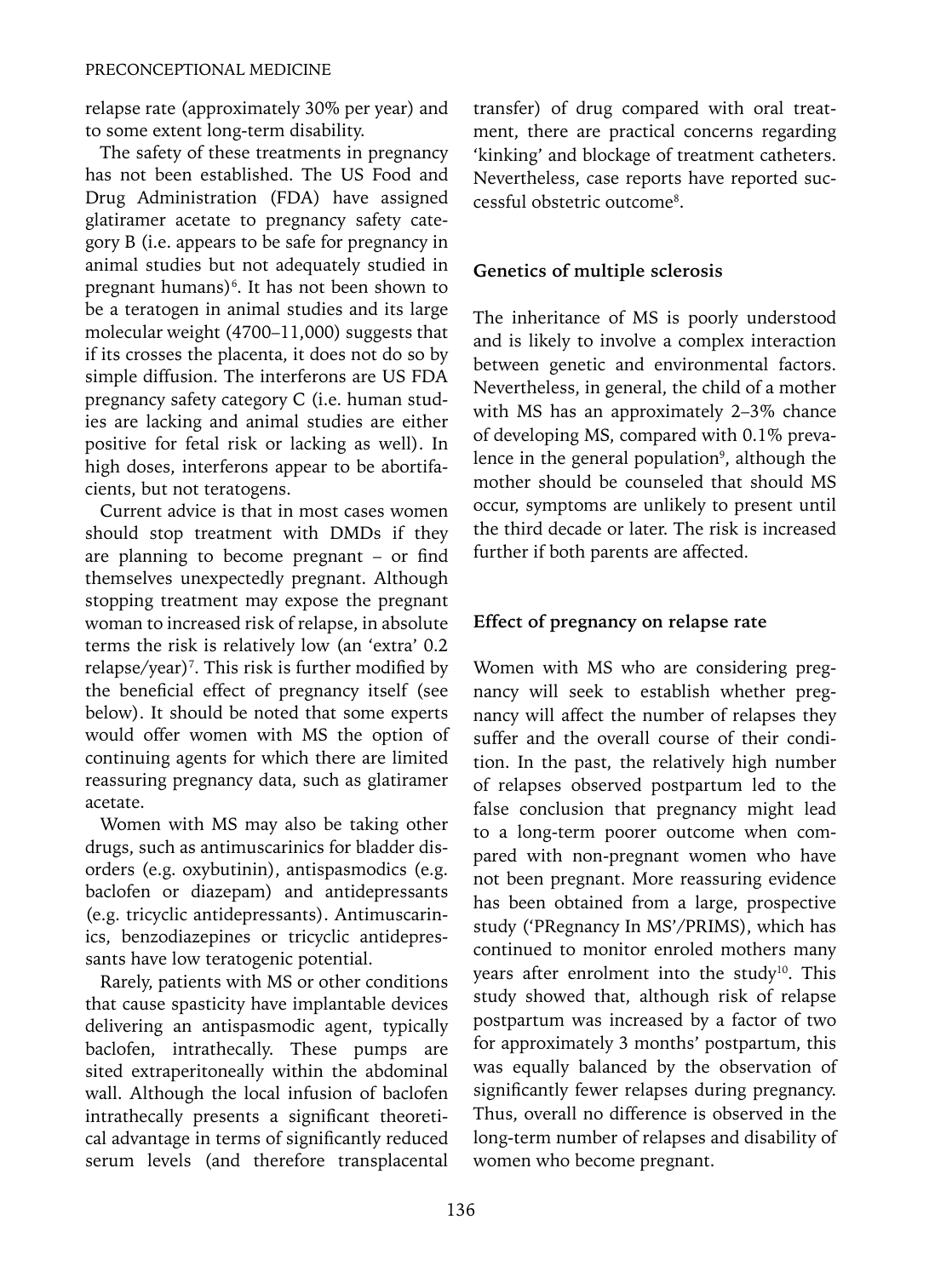relapse rate (approximately 30% per year) and to some extent long-term disability.

The safety of these treatments in pregnancy has not been established. The US Food and Drug Administration (FDA) have assigned glatiramer acetate to pregnancy safety category B (i.e. appears to be safe for pregnancy in animal studies but not adequately studied in pregnant humans)<sup>6</sup>. It has not been shown to be a teratogen in animal studies and its large molecular weight (4700–11,000) suggests that if its crosses the placenta, it does not do so by simple diffusion. The interferons are US FDA pregnancy safety category C (i.e. human studies are lacking and animal studies are either positive for fetal risk or lacking as well). In high doses, interferons appear to be abortifacients, but not teratogens.

Current advice is that in most cases women should stop treatment with DMDs if they are planning to become pregnant – or find themselves unexpectedly pregnant. Although stopping treatment may expose the pregnant woman to increased risk of relapse, in absolute terms the risk is relatively low (an 'extra' 0.2 relapse/year)<sup>7</sup>. This risk is further modified by the beneficial effect of pregnancy itself (see below). It should be noted that some experts would offer women with MS the option of continuing agents for which there are limited reassuring pregnancy data, such as glatiramer acetate.

Women with MS may also be taking other drugs, such as antimuscarinics for bladder disorders (e.g. oxybutinin), antispasmodics (e.g. baclofen or diazepam) and antidepressants (e.g. tricyclic antidepressants). Antimuscarinics, benzodiazepines or tricyclic antidepressants have low teratogenic potential.

Rarely, patients with MS or other conditions that cause spasticity have implantable devices delivering an antispasmodic agent, typically baclofen, intrathecally. These pumps are sited extraperitoneally within the abdominal wall. Although the local infusion of baclofen intrathecally presents a significant theoretical advantage in terms of significantly reduced serum levels (and therefore transplacental transfer) of drug compared with oral treatment, there are practical concerns regarding 'kinking' and blockage of treatment catheters. Nevertheless, case reports have reported successful obstetric outcome8 .

# **Genetics of multiple sclerosis**

The inheritance of MS is poorly understood and is likely to involve a complex interaction between genetic and environmental factors. Nevertheless, in general, the child of a mother with MS has an approximately 2–3% chance of developing MS, compared with 0.1% prevalence in the general population<sup>9</sup>, although the mother should be counseled that should MS occur, symptoms are unlikely to present until the third decade or later. The risk is increased further if both parents are affected.

# **Effect of pregnancy on relapse rate**

Women with MS who are considering pregnancy will seek to establish whether pregnancy will affect the number of relapses they suffer and the overall course of their condition. In the past, the relatively high number of relapses observed postpartum led to the false conclusion that pregnancy might lead to a long-term poorer outcome when compared with non-pregnant women who have not been pregnant. More reassuring evidence has been obtained from a large, prospective study ('PRegnancy In MS'/PRIMS), which has continued to monitor enroled mothers many years after enrolment into the study<sup>10</sup>. This study showed that, although risk of relapse postpartum was increased by a factor of two for approximately 3 months' postpartum, this was equally balanced by the observation of significantly fewer relapses during pregnancy. Thus, overall no difference is observed in the long-term number of relapses and disability of women who become pregnant.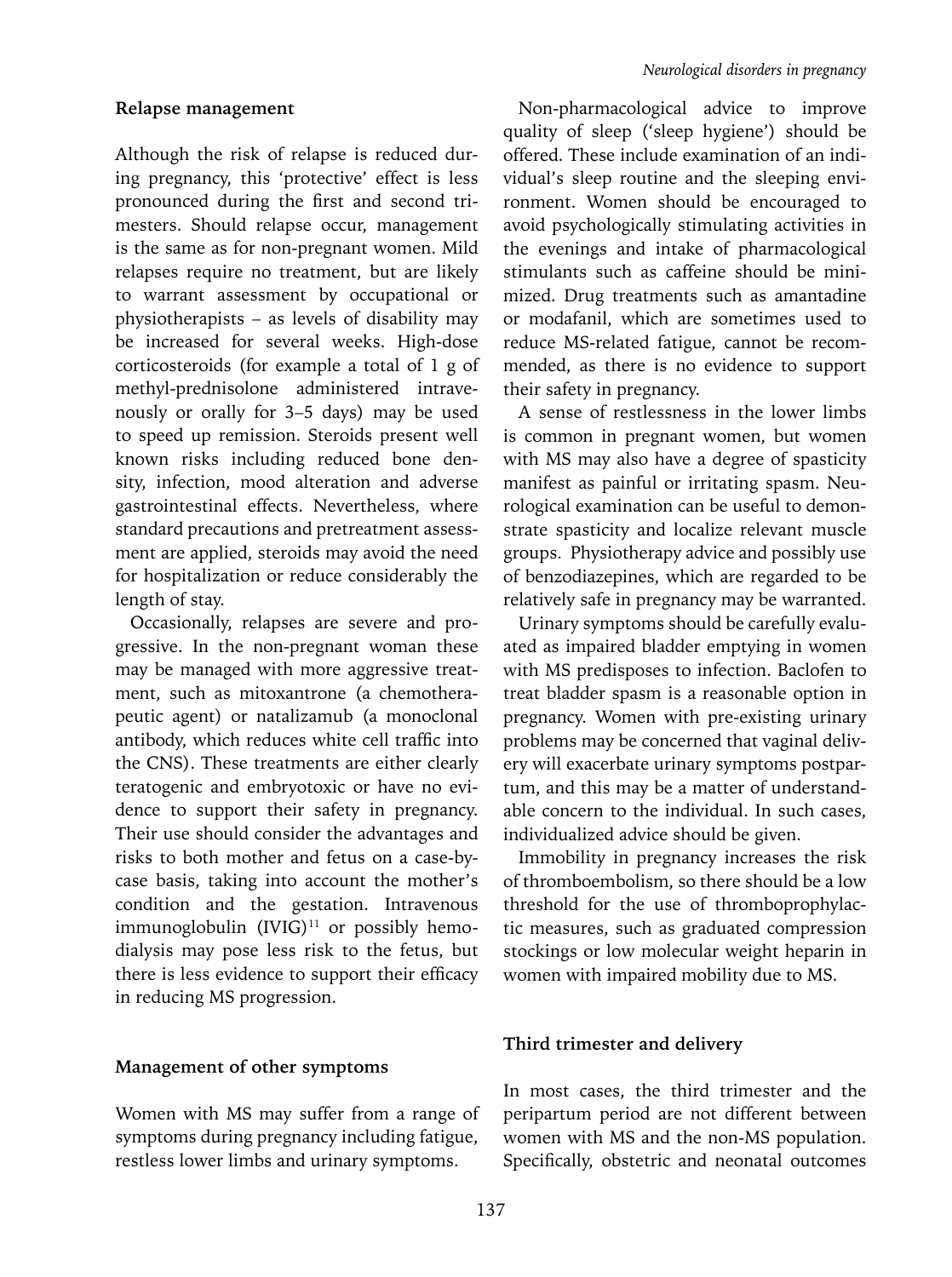Although the risk of relapse is reduced during pregnancy, this 'protective' effect is less pronounced during the first and second trimesters. Should relapse occur, management is the same as for non-pregnant women. Mild relapses require no treatment, but are likely to warrant assessment by occupational or physiotherapists – as levels of disability may be increased for several weeks. High-dose corticosteroids (for example a total of 1 g of methyl-prednisolone administered intravenously or orally for 3–5 days) may be used to speed up remission. Steroids present well known risks including reduced bone density, infection, mood alteration and adverse gastrointestinal effects. Nevertheless, where standard precautions and pretreatment assessment are applied, steroids may avoid the need for hospitalization or reduce considerably the length of stay.

Occasionally, relapses are severe and progressive. In the non-pregnant woman these may be managed with more aggressive treatment, such as mitoxantrone (a chemotherapeutic agent) or natalizamub (a monoclonal antibody, which reduces white cell traffic into the CNS). These treatments are either clearly teratogenic and embryotoxic or have no evidence to support their safety in pregnancy. Their use should consider the advantages and risks to both mother and fetus on a case-bycase basis, taking into account the mother's condition and the gestation. Intravenous immunoglobulin  $(IVIG)^{11}$  or possibly hemodialysis may pose less risk to the fetus, but there is less evidence to support their efficacy in reducing MS progression.

#### **Management of other symptoms**

Women with MS may suffer from a range of symptoms during pregnancy including fatigue, restless lower limbs and urinary symptoms.

Non-pharmacological advice to improve quality of sleep ('sleep hygiene') should be offered. These include examination of an individual's sleep routine and the sleeping environment. Women should be encouraged to avoid psychologically stimulating activities in the evenings and intake of pharmacological stimulants such as caffeine should be minimized. Drug treatments such as amantadine or modafanil, which are sometimes used to reduce MS-related fatigue, cannot be recommended, as there is no evidence to support their safety in pregnancy.

A sense of restlessness in the lower limbs is common in pregnant women, but women with MS may also have a degree of spasticity manifest as painful or irritating spasm. Neurological examination can be useful to demonstrate spasticity and localize relevant muscle groups. Physiotherapy advice and possibly use of benzodiazepines, which are regarded to be relatively safe in pregnancy may be warranted.

Urinary symptoms should be carefully evaluated as impaired bladder emptying in women with MS predisposes to infection. Baclofen to treat bladder spasm is a reasonable option in pregnancy. Women with pre-existing urinary problems may be concerned that vaginal delivery will exacerbate urinary symptoms postpartum, and this may be a matter of understandable concern to the individual. In such cases, individualized advice should be given.

Immobility in pregnancy increases the risk of thromboembolism, so there should be a low threshold for the use of thromboprophylactic measures, such as graduated compression stockings or low molecular weight heparin in women with impaired mobility due to MS.

#### **Third trimester and delivery**

In most cases, the third trimester and the peripartum period are not different between women with MS and the non-MS population. Specifically, obstetric and neonatal outcomes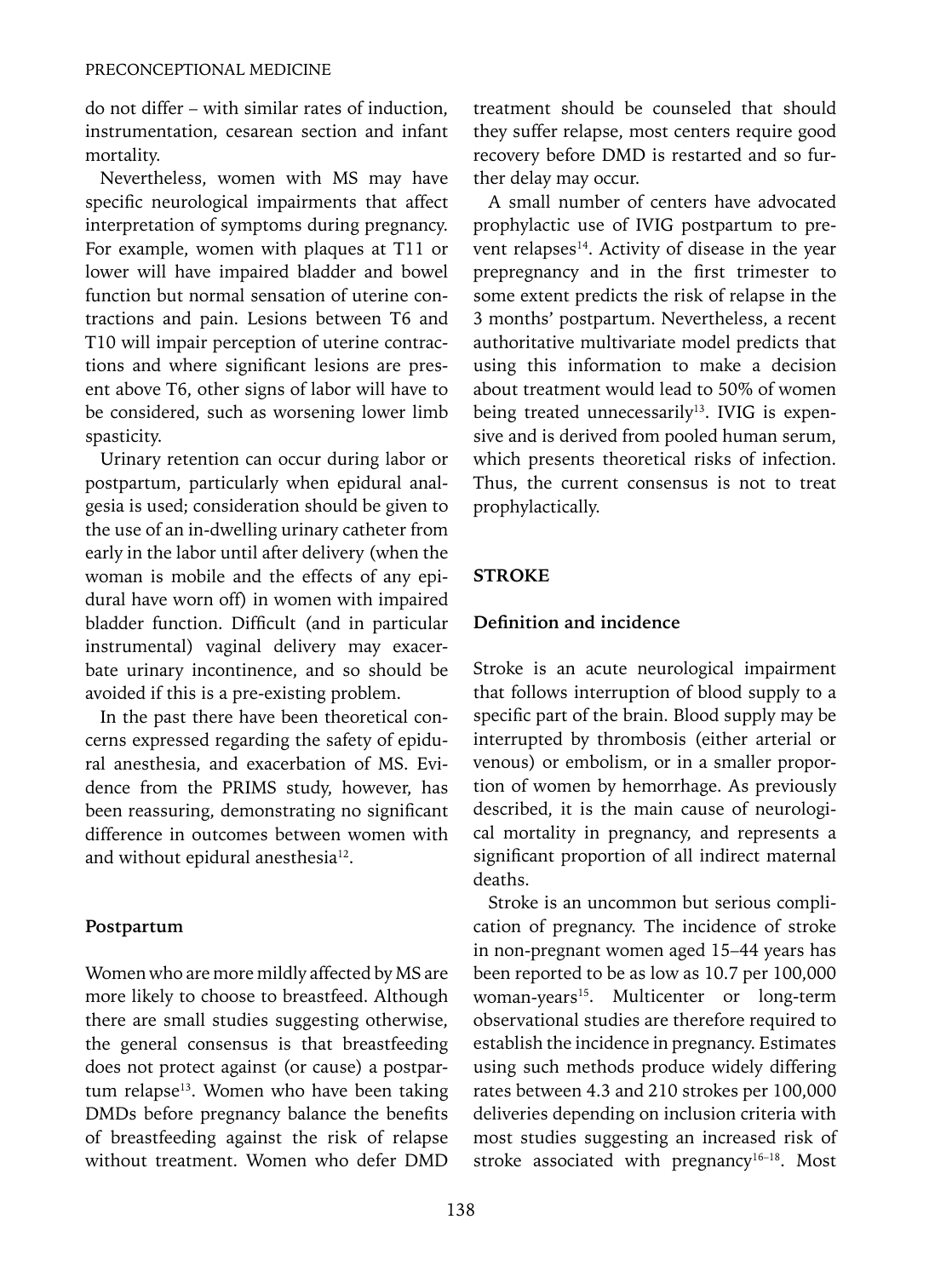do not differ – with similar rates of induction, instrumentation, cesarean section and infant mortality.

Nevertheless, women with MS may have specific neurological impairments that affect interpretation of symptoms during pregnancy. For example, women with plaques at T11 or lower will have impaired bladder and bowel function but normal sensation of uterine contractions and pain. Lesions between T6 and T10 will impair perception of uterine contractions and where significant lesions are present above T6, other signs of labor will have to be considered, such as worsening lower limb spasticity.

Urinary retention can occur during labor or postpartum, particularly when epidural analgesia is used; consideration should be given to the use of an in-dwelling urinary catheter from early in the labor until after delivery (when the woman is mobile and the effects of any epidural have worn off) in women with impaired bladder function. Difficult (and in particular instrumental) vaginal delivery may exacerbate urinary incontinence, and so should be avoided if this is a pre-existing problem.

In the past there have been theoretical concerns expressed regarding the safety of epidural anesthesia, and exacerbation of MS. Evidence from the PRIMS study, however, has been reassuring, demonstrating no significant difference in outcomes between women with and without epidural anesthesia<sup>12</sup>.

#### **Postpartum**

Women who are more mildly affected by MS are more likely to choose to breastfeed. Although there are small studies suggesting otherwise, the general consensus is that breastfeeding does not protect against (or cause) a postpartum relapse<sup>13</sup>. Women who have been taking DMDs before pregnancy balance the benefits of breastfeeding against the risk of relapse without treatment. Women who defer DMD treatment should be counseled that should they suffer relapse, most centers require good recovery before DMD is restarted and so further delay may occur.

A small number of centers have advocated prophylactic use of IVIG postpartum to prevent relapses<sup>14</sup>. Activity of disease in the year prepregnancy and in the first trimester to some extent predicts the risk of relapse in the 3 months' postpartum. Nevertheless, a recent authoritative multivariate model predicts that using this information to make a decision about treatment would lead to 50% of women being treated unnecessarily<sup>13</sup>. IVIG is expensive and is derived from pooled human serum, which presents theoretical risks of infection. Thus, the current consensus is not to treat prophylactically.

#### **STROKE**

#### **Definition and incidence**

Stroke is an acute neurological impairment that follows interruption of blood supply to a specific part of the brain. Blood supply may be interrupted by thrombosis (either arterial or venous) or embolism, or in a smaller proportion of women by hemorrhage. As previously described, it is the main cause of neurological mortality in pregnancy, and represents a significant proportion of all indirect maternal deaths.

Stroke is an uncommon but serious complication of pregnancy. The incidence of stroke in non-pregnant women aged 15–44 years has been reported to be as low as 10.7 per 100,000 woman-years<sup>15</sup>. Multicenter or long-term observational studies are therefore required to establish the incidence in pregnancy. Estimates using such methods produce widely differing rates between 4.3 and 210 strokes per 100,000 deliveries depending on inclusion criteria with most studies suggesting an increased risk of stroke associated with pregnancy<sup>16–18</sup>. Most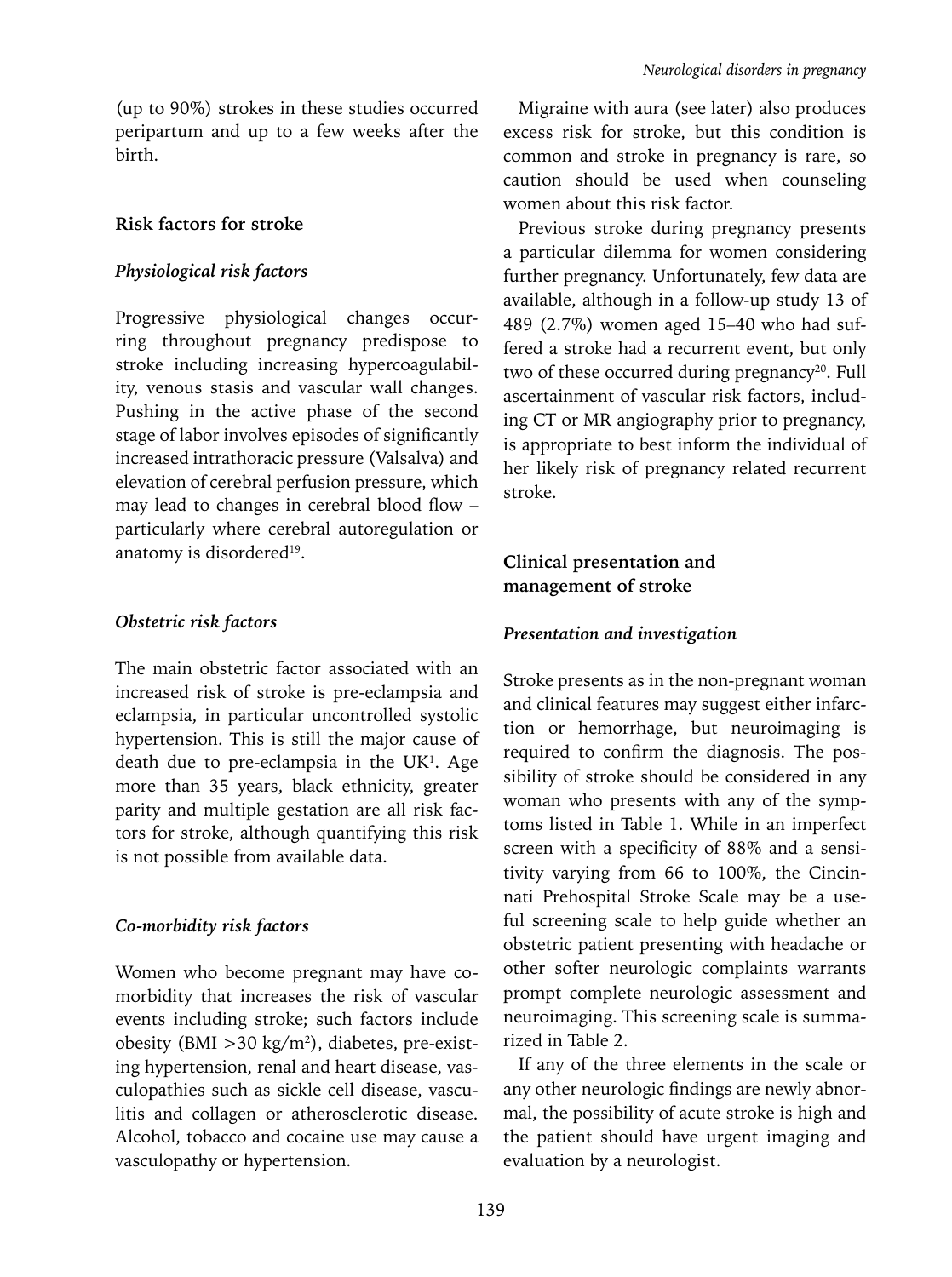(up to 90%) strokes in these studies occurred peripartum and up to a few weeks after the birth.

# **Risk factors for stroke**

## *Physiological risk factors*

Progressive physiological changes occurring throughout pregnancy predispose to stroke including increasing hypercoagulability, venous stasis and vascular wall changes. Pushing in the active phase of the second stage of labor involves episodes of significantly increased intrathoracic pressure (Valsalva) and elevation of cerebral perfusion pressure, which may lead to changes in cerebral blood flow – particularly where cerebral autoregulation or anatomy is disordered<sup>19</sup>.

# *Obstetric risk factors*

The main obstetric factor associated with an increased risk of stroke is pre-eclampsia and eclampsia, in particular uncontrolled systolic hypertension. This is still the major cause of death due to pre-eclampsia in the  $UK<sup>1</sup>$ . Age more than 35 years, black ethnicity, greater parity and multiple gestation are all risk factors for stroke, although quantifying this risk is not possible from available data.

#### *Co-morbidity risk factors*

Women who become pregnant may have comorbidity that increases the risk of vascular events including stroke; such factors include obesity (BMI >30 kg/m2 ), diabetes, pre-existing hypertension, renal and heart disease, vasculopathies such as sickle cell disease, vasculitis and collagen or atherosclerotic disease. Alcohol, tobacco and cocaine use may cause a vasculopathy or hypertension.

Migraine with aura (see later) also produces excess risk for stroke, but this condition is common and stroke in pregnancy is rare, so caution should be used when counseling women about this risk factor.

Previous stroke during pregnancy presents a particular dilemma for women considering further pregnancy. Unfortunately, few data are available, although in a follow-up study 13 of 489 (2.7%) women aged 15–40 who had suffered a stroke had a recurrent event, but only two of these occurred during pregnancy<sup>20</sup>. Full ascertainment of vascular risk factors, including CT or MR angiography prior to pregnancy, is appropriate to best inform the individual of her likely risk of pregnancy related recurrent stroke.

# **Clinical presentation and management of stroke**

## *Presentation and investigation*

Stroke presents as in the non-pregnant woman and clinical features may suggest either infarction or hemorrhage, but neuroimaging is required to confirm the diagnosis. The possibility of stroke should be considered in any woman who presents with any of the symptoms listed in Table 1. While in an imperfect screen with a specificity of 88% and a sensitivity varying from 66 to 100%, the Cincinnati Prehospital Stroke Scale may be a useful screening scale to help guide whether an obstetric patient presenting with headache or other softer neurologic complaints warrants prompt complete neurologic assessment and neuroimaging. This screening scale is summarized in Table 2.

If any of the three elements in the scale or any other neurologic findings are newly abnormal, the possibility of acute stroke is high and the patient should have urgent imaging and evaluation by a neurologist.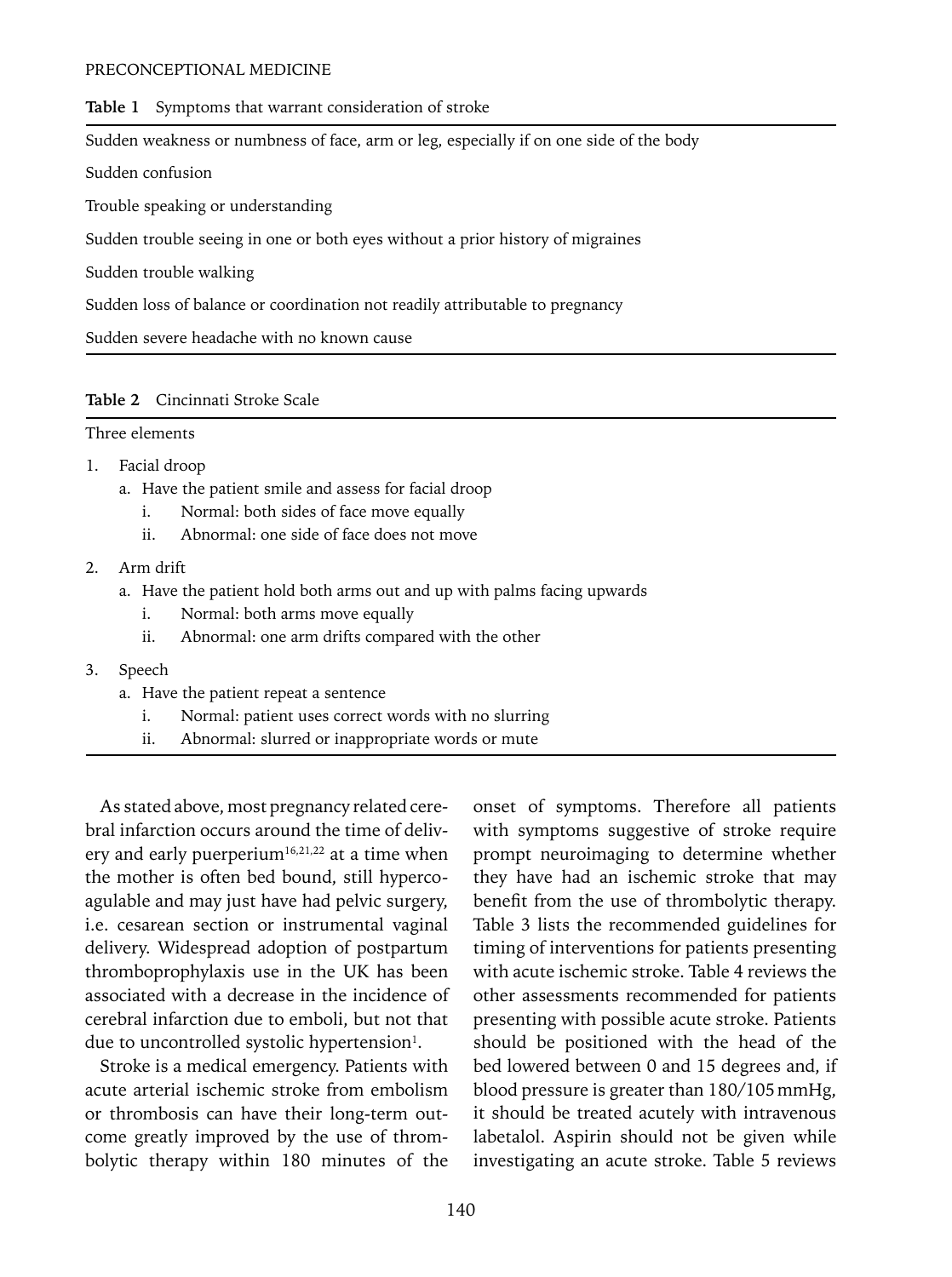#### PRECONCEPTIONAL MEDICINE

#### **Table 1** Symptoms that warrant consideration of stroke

Sudden weakness or numbness of face, arm or leg, especially if on one side of the body

Sudden confusion

Trouble speaking or understanding

Sudden trouble seeing in one or both eyes without a prior history of migraines

Sudden trouble walking

Sudden loss of balance or coordination not readily attributable to pregnancy

Sudden severe headache with no known cause

#### **Table 2** Cincinnati Stroke Scale

#### Three elements

#### 1. Facial droop

- a. Have the patient smile and assess for facial droop
	- i. Normal: both sides of face move equally
	- ii. Abnormal: one side of face does not move

#### 2. Arm drift

- a. Have the patient hold both arms out and up with palms facing upwards
	- i. Normal: both arms move equally
	- ii. Abnormal: one arm drifts compared with the other
- 3. Speech
	- a. Have the patient repeat a sentence
		- i. Normal: patient uses correct words with no slurring
		- ii. Abnormal: slurred or inappropriate words or mute

As stated above, most pregnancy related cerebral infarction occurs around the time of delivery and early puerperium<sup>16,21,22</sup> at a time when the mother is often bed bound, still hypercoagulable and may just have had pelvic surgery, i.e. cesarean section or instrumental vaginal delivery. Widespread adoption of postpartum thromboprophylaxis use in the UK has been associated with a decrease in the incidence of cerebral infarction due to emboli, but not that due to uncontrolled systolic hypertension<sup>1</sup>.

Stroke is a medical emergency. Patients with acute arterial ischemic stroke from embolism or thrombosis can have their long-term outcome greatly improved by the use of thrombolytic therapy within 180 minutes of the onset of symptoms. Therefore all patients with symptoms suggestive of stroke require prompt neuroimaging to determine whether they have had an ischemic stroke that may benefit from the use of thrombolytic therapy. Table 3 lists the recommended guidelines for timing of interventions for patients presenting with acute ischemic stroke. Table 4 reviews the other assessments recommended for patients presenting with possible acute stroke. Patients should be positioned with the head of the bed lowered between 0 and 15 degrees and, if blood pressure is greater than 180/105mmHg, it should be treated acutely with intravenous labetalol. Aspirin should not be given while investigating an acute stroke. Table 5 reviews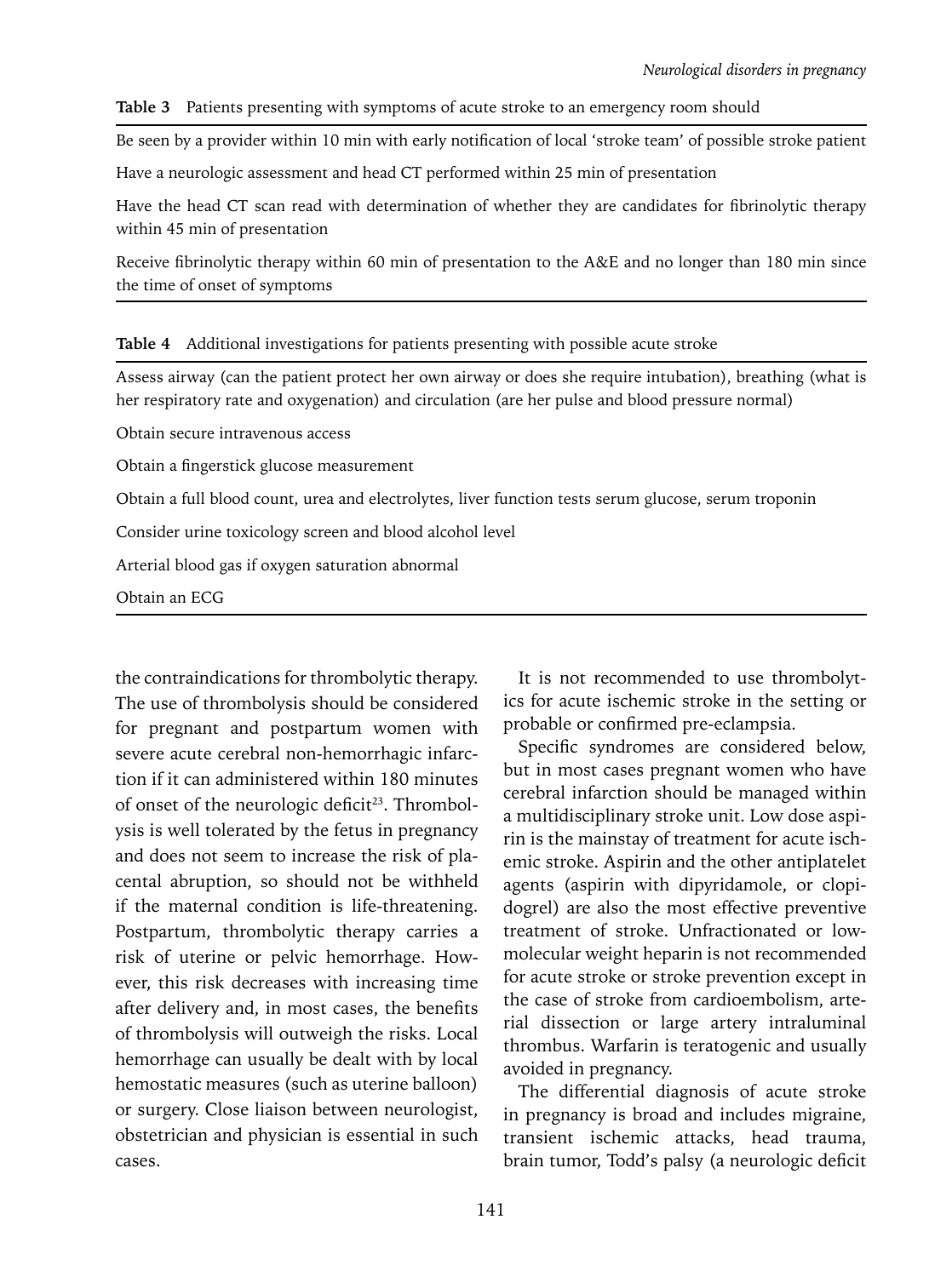#### **Table 3** Patients presenting with symptoms of acute stroke to an emergency room should

Be seen by a provider within 10 min with early notification of local 'stroke team' of possible stroke patient

Have a neurologic assessment and head CT performed within 25 min of presentation

Have the head CT scan read with determination of whether they are candidates for fibrinolytic therapy within 45 min of presentation

Receive fibrinolytic therapy within 60 min of presentation to the A&E and no longer than 180 min since the time of onset of symptoms

|  |  | Table 4 Additional investigations for patients presenting with possible acute stroke |  |  |  |  |
|--|--|--------------------------------------------------------------------------------------|--|--|--|--|
|--|--|--------------------------------------------------------------------------------------|--|--|--|--|

Assess airway (can the patient protect her own airway or does she require intubation), breathing (what is her respiratory rate and oxygenation) and circulation (are her pulse and blood pressure normal)

Obtain secure intravenous access

Obtain a fingerstick glucose measurement

Obtain a full blood count, urea and electrolytes, liver function tests serum glucose, serum troponin

Consider urine toxicology screen and blood alcohol level

Arterial blood gas if oxygen saturation abnormal

Obtain an ECG

the contraindications for thrombolytic therapy. The use of thrombolysis should be considered for pregnant and postpartum women with severe acute cerebral non-hemorrhagic infarction if it can administered within 180 minutes of onset of the neurologic deficit<sup>23</sup>. Thrombolysis is well tolerated by the fetus in pregnancy and does not seem to increase the risk of placental abruption, so should not be withheld if the maternal condition is life-threatening. Postpartum, thrombolytic therapy carries a risk of uterine or pelvic hemorrhage. However, this risk decreases with increasing time after delivery and, in most cases, the benefits of thrombolysis will outweigh the risks. Local hemorrhage can usually be dealt with by local hemostatic measures (such as uterine balloon) or surgery. Close liaison between neurologist, obstetrician and physician is essential in such cases.

It is not recommended to use thrombolytics for acute ischemic stroke in the setting or probable or confirmed pre-eclampsia.

Specific syndromes are considered below, but in most cases pregnant women who have cerebral infarction should be managed within a multidisciplinary stroke unit. Low dose aspirin is the mainstay of treatment for acute ischemic stroke. Aspirin and the other antiplatelet agents (aspirin with dipyridamole, or clopidogrel) are also the most effective preventive treatment of stroke. Unfractionated or lowmolecular weight heparin is not recommended for acute stroke or stroke prevention except in the case of stroke from cardioembolism, arterial dissection or large artery intraluminal thrombus. Warfarin is teratogenic and usually avoided in pregnancy.

The differential diagnosis of acute stroke in pregnancy is broad and includes migraine, transient ischemic attacks, head trauma, brain tumor, Todd's palsy (a neurologic deficit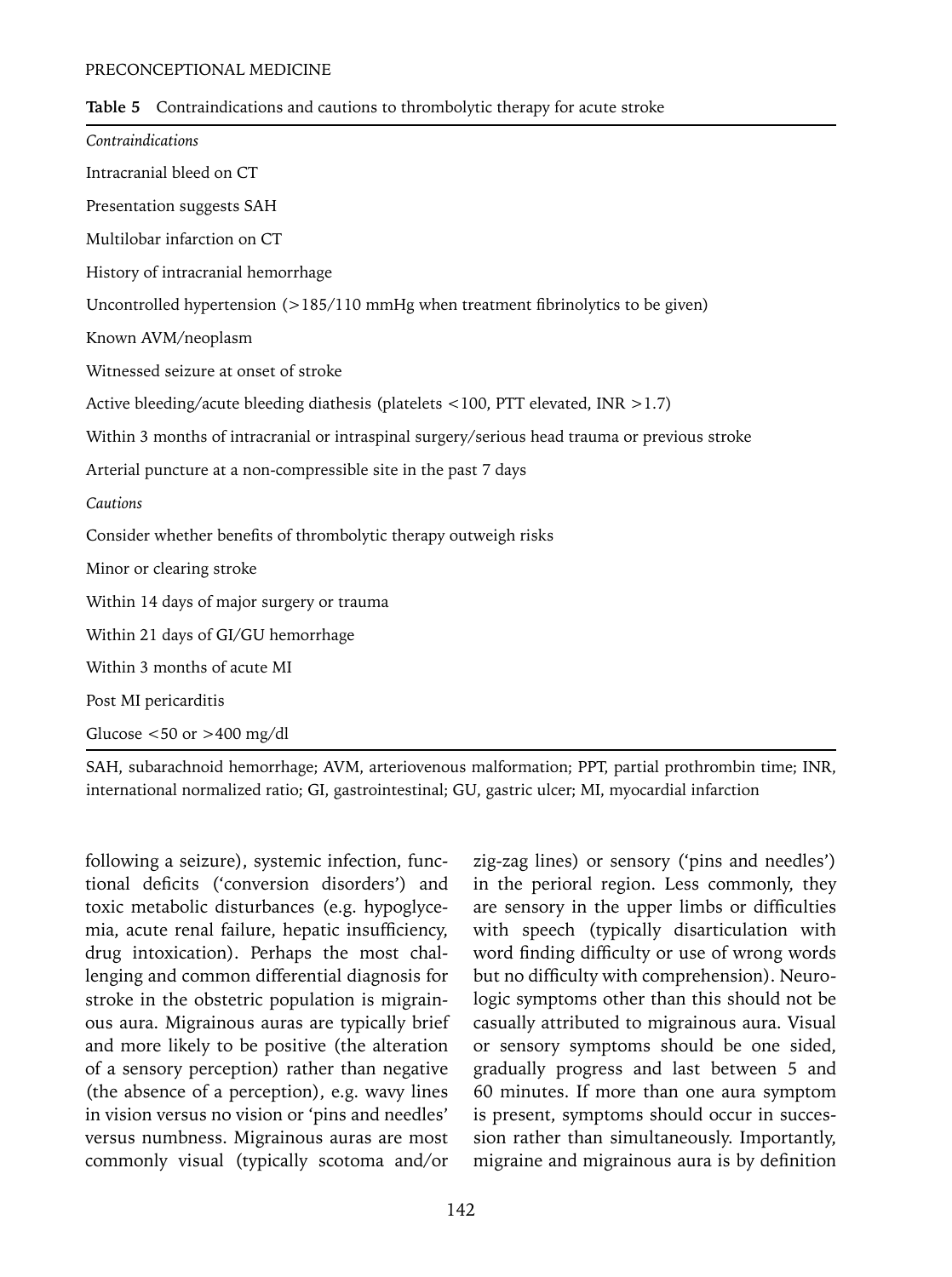| Table 5 Contraindications and cautions to thrombolytic therapy for acute stroke |  |  |
|---------------------------------------------------------------------------------|--|--|
|                                                                                 |  |  |

| Contraindications                                                                             |  |  |  |  |  |
|-----------------------------------------------------------------------------------------------|--|--|--|--|--|
| Intracranial bleed on CT                                                                      |  |  |  |  |  |
| Presentation suggests SAH                                                                     |  |  |  |  |  |
| Multilobar infarction on CT                                                                   |  |  |  |  |  |
| History of intracranial hemorrhage                                                            |  |  |  |  |  |
| Uncontrolled hypertension $(>185/110 \text{ mmHg}$ when treatment fibrinolytics to be given)  |  |  |  |  |  |
| Known AVM/neoplasm                                                                            |  |  |  |  |  |
| Witnessed seizure at onset of stroke                                                          |  |  |  |  |  |
| Active bleeding/acute bleeding diathesis (platelets <100, PTT elevated, INR >1.7)             |  |  |  |  |  |
| Within 3 months of intracranial or intraspinal surgery/serious head trauma or previous stroke |  |  |  |  |  |
| Arterial puncture at a non-compressible site in the past 7 days                               |  |  |  |  |  |
| Cautions                                                                                      |  |  |  |  |  |
| Consider whether benefits of thrombolytic therapy outweigh risks                              |  |  |  |  |  |
| Minor or clearing stroke                                                                      |  |  |  |  |  |
| Within 14 days of major surgery or trauma                                                     |  |  |  |  |  |
| Within 21 days of GI/GU hemorrhage                                                            |  |  |  |  |  |
| Within 3 months of acute MI                                                                   |  |  |  |  |  |
| Post MI pericarditis                                                                          |  |  |  |  |  |
| Glucose $<$ 50 or > 400 mg/dl                                                                 |  |  |  |  |  |
|                                                                                               |  |  |  |  |  |

SAH, subarachnoid hemorrhage; AVM, arteriovenous malformation; PPT, partial prothrombin time; INR, international normalized ratio; GI, gastrointestinal; GU, gastric ulcer; MI, myocardial infarction

following a seizure), systemic infection, functional deficits ('conversion disorders') and toxic metabolic disturbances (e.g. hypoglycemia, acute renal failure, hepatic insufficiency, drug intoxication). Perhaps the most challenging and common differential diagnosis for stroke in the obstetric population is migrainous aura. Migrainous auras are typically brief and more likely to be positive (the alteration of a sensory perception) rather than negative (the absence of a perception), e.g. wavy lines in vision versus no vision or 'pins and needles' versus numbness. Migrainous auras are most commonly visual (typically scotoma and/or

zig-zag lines) or sensory ('pins and needles') in the perioral region. Less commonly, they are sensory in the upper limbs or difficulties with speech (typically disarticulation with word finding difficulty or use of wrong words but no difficulty with comprehension). Neurologic symptoms other than this should not be casually attributed to migrainous aura. Visual or sensory symptoms should be one sided, gradually progress and last between 5 and 60 minutes. If more than one aura symptom is present, symptoms should occur in succession rather than simultaneously. Importantly, migraine and migrainous aura is by definition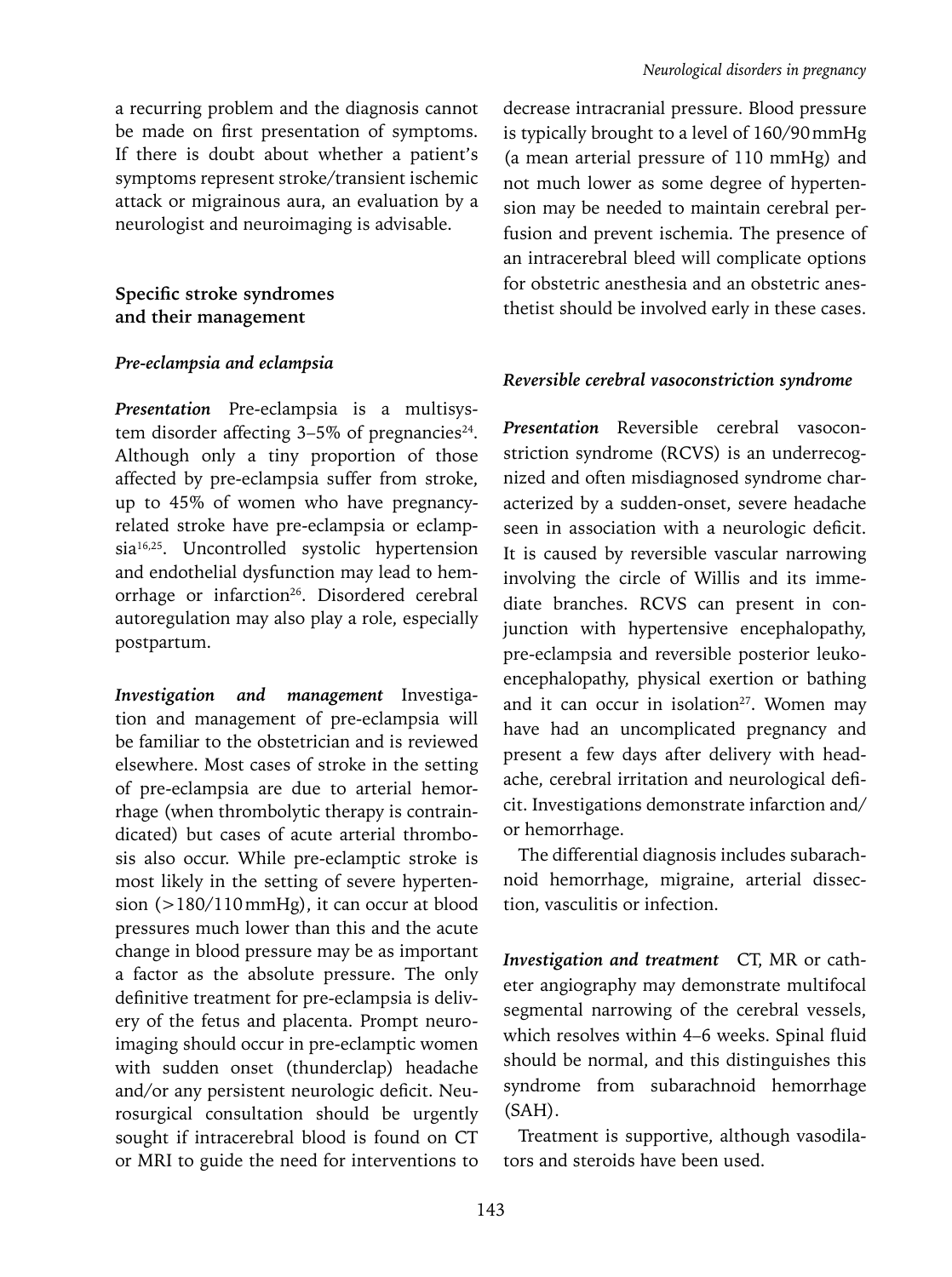a recurring problem and the diagnosis cannot be made on first presentation of symptoms. If there is doubt about whether a patient's symptoms represent stroke/transient ischemic attack or migrainous aura, an evaluation by a neurologist and neuroimaging is advisable.

**Specific stroke syndromes and their management**

#### *Pre-eclampsia and eclampsia*

*Presentation* Pre-eclampsia is a multisystem disorder affecting  $3-5\%$  of pregnancies<sup>24</sup>. Although only a tiny proportion of those affected by pre-eclampsia suffer from stroke, up to 45% of women who have pregnancyrelated stroke have pre-eclampsia or eclampsia<sup>16,25</sup>. Uncontrolled systolic hypertension and endothelial dysfunction may lead to hemorrhage or infarction<sup>26</sup>. Disordered cerebral autoregulation may also play a role, especially postpartum.

*Investigation and management* Investigation and management of pre-eclampsia will be familiar to the obstetrician and is reviewed elsewhere. Most cases of stroke in the setting of pre-eclampsia are due to arterial hemorrhage (when thrombolytic therapy is contraindicated) but cases of acute arterial thrombosis also occur. While pre-eclamptic stroke is most likely in the setting of severe hypertension (>180/110mmHg), it can occur at blood pressures much lower than this and the acute change in blood pressure may be as important a factor as the absolute pressure. The only definitive treatment for pre-eclampsia is delivery of the fetus and placenta. Prompt neuroimaging should occur in pre-eclamptic women with sudden onset (thunderclap) headache and/or any persistent neurologic deficit. Neurosurgical consultation should be urgently sought if intracerebral blood is found on CT or MRI to guide the need for interventions to decrease intracranial pressure. Blood pressure is typically brought to a level of 160/90mmHg (a mean arterial pressure of 110 mmHg) and not much lower as some degree of hypertension may be needed to maintain cerebral perfusion and prevent ischemia. The presence of an intracerebral bleed will complicate options for obstetric anesthesia and an obstetric anesthetist should be involved early in these cases.

#### *Reversible cerebral vasoconstriction syndrome*

*Presentation* Reversible cerebral vasoconstriction syndrome (RCVS) is an underrecognized and often misdiagnosed syndrome characterized by a sudden-onset, severe headache seen in association with a neurologic deficit. It is caused by reversible vascular narrowing involving the circle of Willis and its immediate branches. RCVS can present in conjunction with hypertensive encephalopathy, pre-eclampsia and reversible posterior leukoencephalopathy, physical exertion or bathing and it can occur in isolation<sup>27</sup>. Women may have had an uncomplicated pregnancy and present a few days after delivery with headache, cerebral irritation and neurological deficit. Investigations demonstrate infarction and/ or hemorrhage.

The differential diagnosis includes subarachnoid hemorrhage, migraine, arterial dissection, vasculitis or infection.

*Investigation and treatment* CT, MR or catheter angiography may demonstrate multifocal segmental narrowing of the cerebral vessels, which resolves within 4–6 weeks. Spinal fluid should be normal, and this distinguishes this syndrome from subarachnoid hemorrhage (SAH).

Treatment is supportive, although vasodilators and steroids have been used.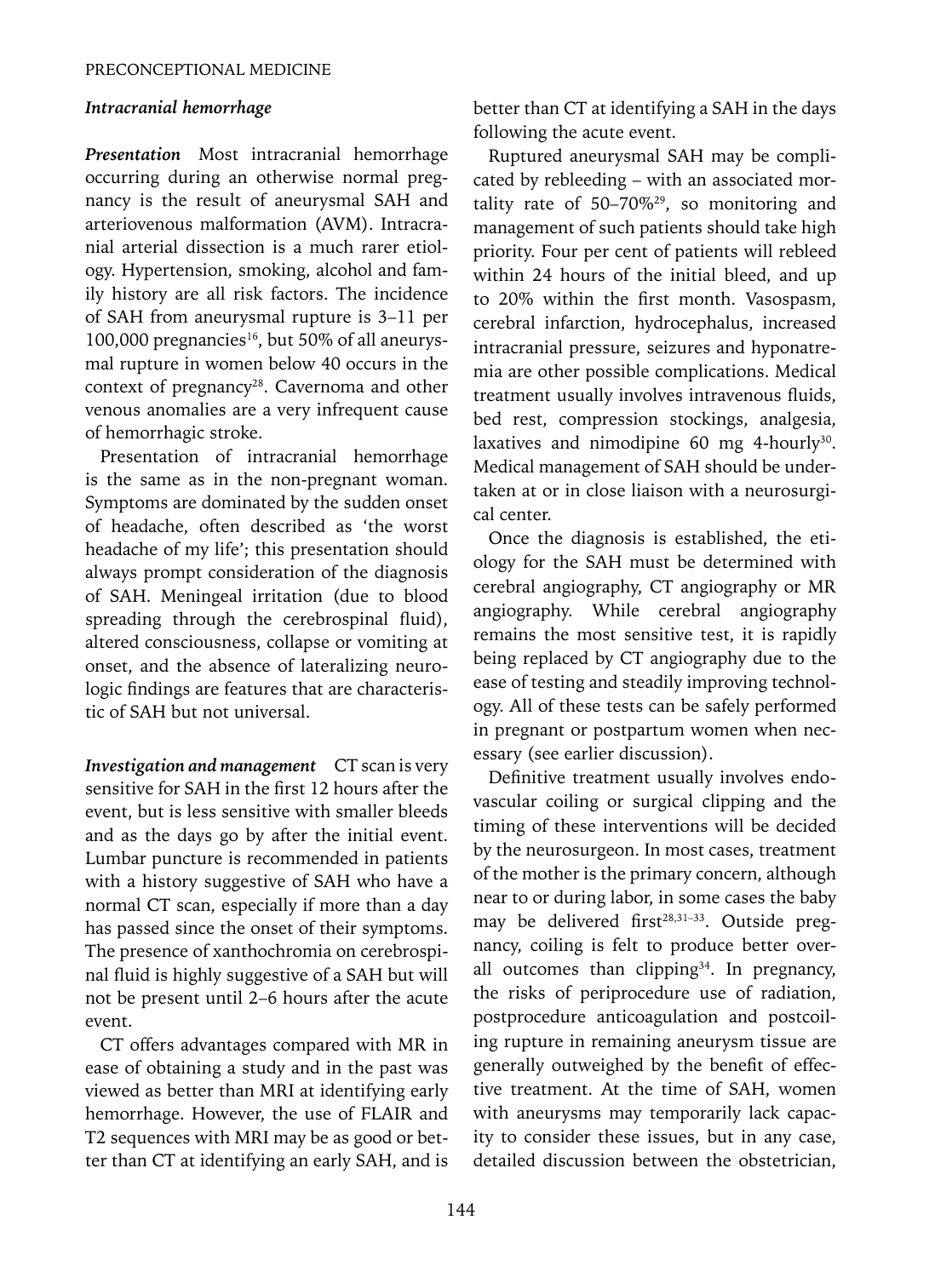#### *Intracranial hemorrhage*

*Presentation* Most intracranial hemorrhage occurring during an otherwise normal pregnancy is the result of aneurysmal SAH and arteriovenous malformation (AVM). Intracranial arterial dissection is a much rarer etiology. Hypertension, smoking, alcohol and family history are all risk factors. The incidence of SAH from aneurysmal rupture is 3–11 per 100,000 pregnancies<sup>16</sup>, but 50% of all aneurysmal rupture in women below 40 occurs in the context of pregnancy<sup>28</sup>. Cavernoma and other venous anomalies are a very infrequent cause of hemorrhagic stroke.

Presentation of intracranial hemorrhage is the same as in the non-pregnant woman. Symptoms are dominated by the sudden onset of headache, often described as 'the worst headache of my life'; this presentation should always prompt consideration of the diagnosis of SAH. Meningeal irritation (due to blood spreading through the cerebrospinal fluid), altered consciousness, collapse or vomiting at onset, and the absence of lateralizing neurologic findings are features that are characteristic of SAH but not universal.

*Investigation and management* CT scan is very sensitive for SAH in the first 12 hours after the event, but is less sensitive with smaller bleeds and as the days go by after the initial event. Lumbar puncture is recommended in patients with a history suggestive of SAH who have a normal CT scan, especially if more than a day has passed since the onset of their symptoms. The presence of xanthochromia on cerebrospinal fluid is highly suggestive of a SAH but will not be present until 2–6 hours after the acute event.

CT offers advantages compared with MR in ease of obtaining a study and in the past was viewed as better than MRI at identifying early hemorrhage. However, the use of FLAIR and T2 sequences with MRI may be as good or better than CT at identifying an early SAH, and is better than CT at identifying a SAH in the days following the acute event.

Ruptured aneurysmal SAH may be complicated by rebleeding – with an associated mortality rate of  $50-70\%^{29}$ , so monitoring and management of such patients should take high priority. Four per cent of patients will rebleed within 24 hours of the initial bleed, and up to 20% within the first month. Vasospasm, cerebral infarction, hydrocephalus, increased intracranial pressure, seizures and hyponatremia are other possible complications. Medical treatment usually involves intravenous fluids, bed rest, compression stockings, analgesia, laxatives and nimodipine 60 mg 4-hourly<sup>30</sup>. Medical management of SAH should be undertaken at or in close liaison with a neurosurgical center.

Once the diagnosis is established, the etiology for the SAH must be determined with cerebral angiography, CT angiography or MR angiography. While cerebral angiography remains the most sensitive test, it is rapidly being replaced by CT angiography due to the ease of testing and steadily improving technology. All of these tests can be safely performed in pregnant or postpartum women when necessary (see earlier discussion).

Definitive treatment usually involves endovascular coiling or surgical clipping and the timing of these interventions will be decided by the neurosurgeon. In most cases, treatment of the mother is the primary concern, although near to or during labor, in some cases the baby may be delivered first<sup>28,31-33</sup>. Outside pregnancy, coiling is felt to produce better overall outcomes than clipping $34$ . In pregnancy, the risks of periprocedure use of radiation, postprocedure anticoagulation and postcoiling rupture in remaining aneurysm tissue are generally outweighed by the benefit of effective treatment. At the time of SAH, women with aneurysms may temporarily lack capacity to consider these issues, but in any case, detailed discussion between the obstetrician,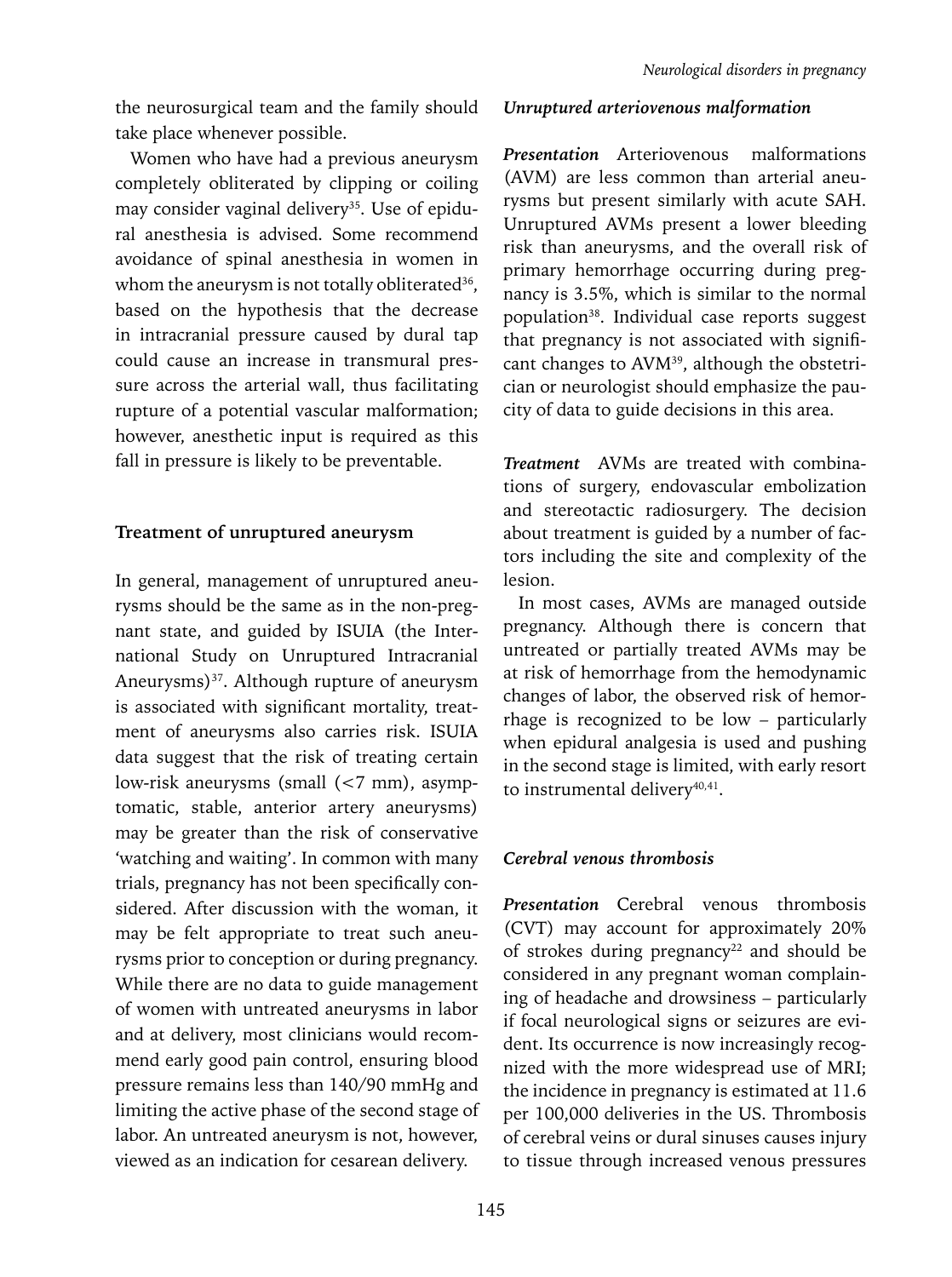the neurosurgical team and the family should take place whenever possible.

Women who have had a previous aneurysm completely obliterated by clipping or coiling may consider vaginal delivery<sup>35</sup>. Use of epidural anesthesia is advised. Some recommend avoidance of spinal anesthesia in women in whom the aneurysm is not totally obliterated<sup>36</sup>, based on the hypothesis that the decrease in intracranial pressure caused by dural tap could cause an increase in transmural pressure across the arterial wall, thus facilitating rupture of a potential vascular malformation; however, anesthetic input is required as this fall in pressure is likely to be preventable.

# **Treatment of unruptured aneurysm**

In general, management of unruptured aneurysms should be the same as in the non-pregnant state, and guided by ISUIA (the International Study on Unruptured Intracranial Aneurysms)<sup>37</sup>. Although rupture of aneurysm is associated with significant mortality, treatment of aneurysms also carries risk. ISUIA data suggest that the risk of treating certain low-risk aneurysms (small (<7 mm), asymptomatic, stable, anterior artery aneurysms) may be greater than the risk of conservative 'watching and waiting'. In common with many trials, pregnancy has not been specifically considered. After discussion with the woman, it may be felt appropriate to treat such aneurysms prior to conception or during pregnancy. While there are no data to guide management of women with untreated aneurysms in labor and at delivery, most clinicians would recommend early good pain control, ensuring blood pressure remains less than 140/90 mmHg and limiting the active phase of the second stage of labor. An untreated aneurysm is not, however, viewed as an indication for cesarean delivery.

#### *Unruptured arteriovenous malformation*

*Presentation* Arteriovenous malformations (AVM) are less common than arterial aneurysms but present similarly with acute SAH. Unruptured AVMs present a lower bleeding risk than aneurysms, and the overall risk of primary hemorrhage occurring during pregnancy is 3.5%, which is similar to the normal population38. Individual case reports suggest that pregnancy is not associated with significant changes to AVM<sup>39</sup>, although the obstetrician or neurologist should emphasize the paucity of data to guide decisions in this area.

*Treatment* AVMs are treated with combinations of surgery, endovascular embolization and stereotactic radiosurgery. The decision about treatment is guided by a number of factors including the site and complexity of the lesion.

In most cases, AVMs are managed outside pregnancy. Although there is concern that untreated or partially treated AVMs may be at risk of hemorrhage from the hemodynamic changes of labor, the observed risk of hemorrhage is recognized to be low – particularly when epidural analgesia is used and pushing in the second stage is limited, with early resort to instrumental delivery<sup>40,41</sup>.

# *Cerebral venous thrombosis*

*Presentation* Cerebral venous thrombosis (CVT) may account for approximately 20% of strokes during pregnancy<sup>22</sup> and should be considered in any pregnant woman complaining of headache and drowsiness – particularly if focal neurological signs or seizures are evident. Its occurrence is now increasingly recognized with the more widespread use of MRI; the incidence in pregnancy is estimated at 11.6 per 100,000 deliveries in the US. Thrombosis of cerebral veins or dural sinuses causes injury to tissue through increased venous pressures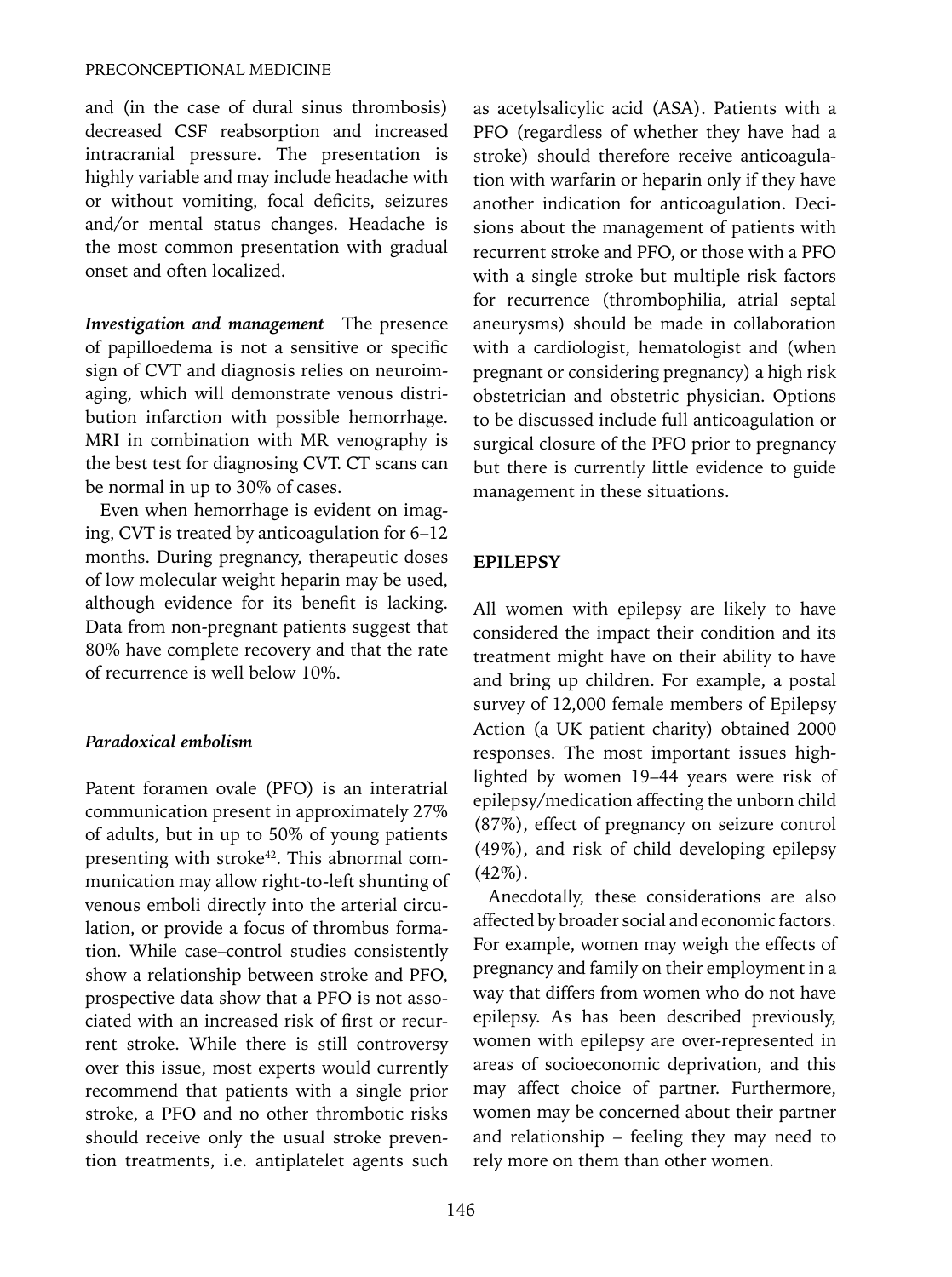and (in the case of dural sinus thrombosis) decreased CSF reabsorption and increased intracranial pressure. The presentation is highly variable and may include headache with or without vomiting, focal deficits, seizures and/or mental status changes. Headache is the most common presentation with gradual onset and often localized.

*Investigation and management* The presence of papilloedema is not a sensitive or specific sign of CVT and diagnosis relies on neuroimaging, which will demonstrate venous distribution infarction with possible hemorrhage. MRI in combination with MR venography is the best test for diagnosing CVT. CT scans can be normal in up to 30% of cases.

Even when hemorrhage is evident on imaging, CVT is treated by anticoagulation for 6–12 months. During pregnancy, therapeutic doses of low molecular weight heparin may be used, although evidence for its benefit is lacking. Data from non-pregnant patients suggest that 80% have complete recovery and that the rate of recurrence is well below 10%.

#### *Paradoxical embolism*

Patent foramen ovale (PFO) is an interatrial communication present in approximately 27% of adults, but in up to 50% of young patients presenting with stroke<sup>42</sup>. This abnormal communication may allow right-to-left shunting of venous emboli directly into the arterial circulation, or provide a focus of thrombus formation. While case–control studies consistently show a relationship between stroke and PFO, prospective data show that a PFO is not associated with an increased risk of first or recurrent stroke. While there is still controversy over this issue, most experts would currently recommend that patients with a single prior stroke, a PFO and no other thrombotic risks should receive only the usual stroke prevention treatments, i.e. antiplatelet agents such as acetylsalicylic acid (ASA). Patients with a PFO (regardless of whether they have had a stroke) should therefore receive anticoagulation with warfarin or heparin only if they have another indication for anticoagulation. Decisions about the management of patients with recurrent stroke and PFO, or those with a PFO with a single stroke but multiple risk factors for recurrence (thrombophilia, atrial septal aneurysms) should be made in collaboration with a cardiologist, hematologist and (when pregnant or considering pregnancy) a high risk obstetrician and obstetric physician. Options to be discussed include full anticoagulation or surgical closure of the PFO prior to pregnancy but there is currently little evidence to guide management in these situations.

# **EPILEPSY**

All women with epilepsy are likely to have considered the impact their condition and its treatment might have on their ability to have and bring up children. For example, a postal survey of 12,000 female members of Epilepsy Action (a UK patient charity) obtained 2000 responses. The most important issues highlighted by women 19–44 years were risk of epilepsy/medication affecting the unborn child (87%), effect of pregnancy on seizure control (49%), and risk of child developing epilepsy  $(42\%)$ .

Anecdotally, these considerations are also affected by broader social and economic factors. For example, women may weigh the effects of pregnancy and family on their employment in a way that differs from women who do not have epilepsy. As has been described previously, women with epilepsy are over-represented in areas of socioeconomic deprivation, and this may affect choice of partner. Furthermore, women may be concerned about their partner and relationship – feeling they may need to rely more on them than other women.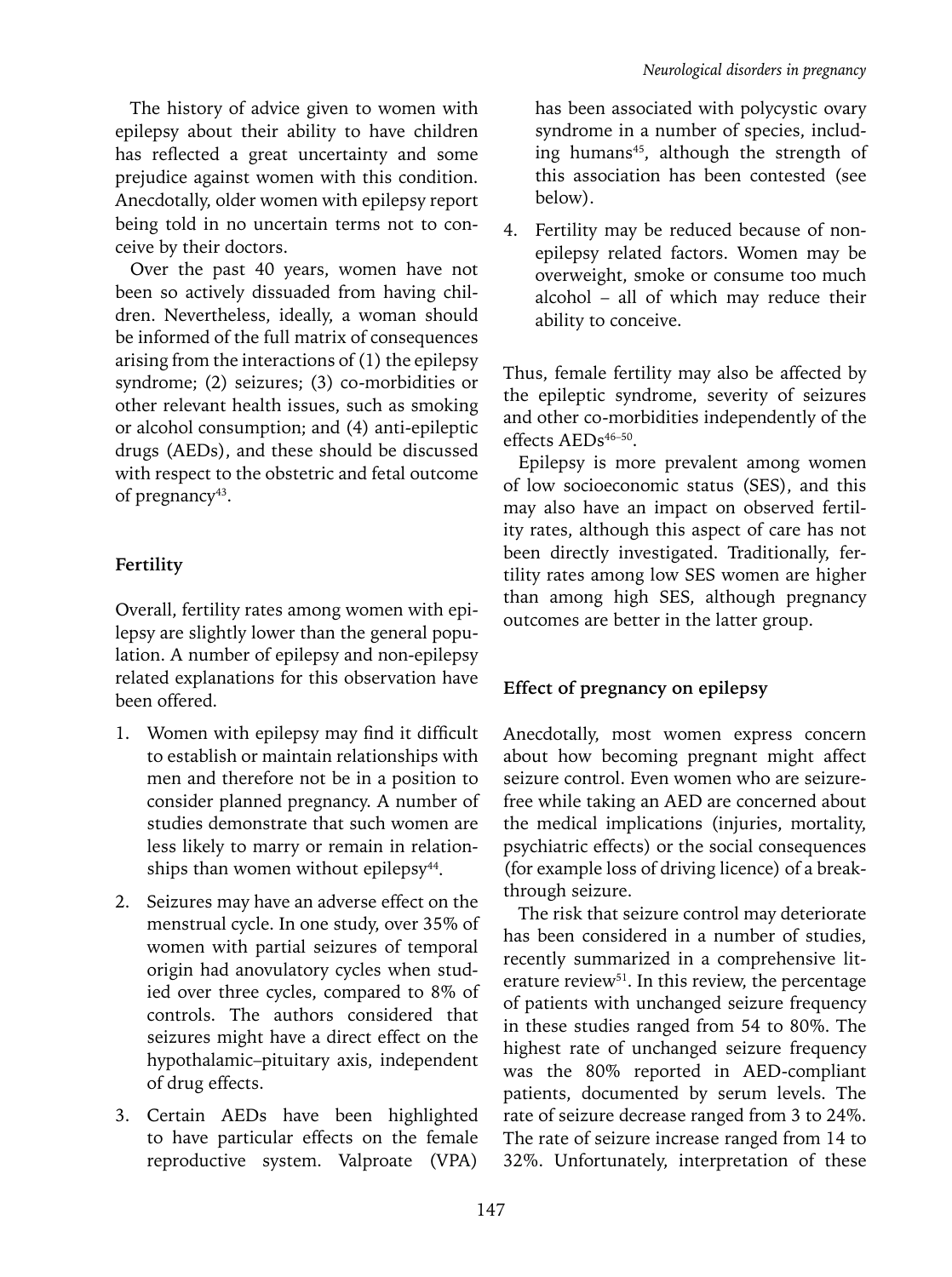The history of advice given to women with epilepsy about their ability to have children has reflected a great uncertainty and some prejudice against women with this condition. Anecdotally, older women with epilepsy report being told in no uncertain terms not to conceive by their doctors.

Over the past 40 years, women have not been so actively dissuaded from having children. Nevertheless, ideally, a woman should be informed of the full matrix of consequences arising from the interactions of (1) the epilepsy syndrome; (2) seizures; (3) co-morbidities or other relevant health issues, such as smoking or alcohol consumption; and (4) anti-epileptic drugs (AEDs), and these should be discussed with respect to the obstetric and fetal outcome of pregnancy<sup>43</sup>.

# **Fertility**

Overall, fertility rates among women with epilepsy are slightly lower than the general population. A number of epilepsy and non-epilepsy related explanations for this observation have been offered.

- 1. Women with epilepsy may find it difficult to establish or maintain relationships with men and therefore not be in a position to consider planned pregnancy. A number of studies demonstrate that such women are less likely to marry or remain in relationships than women without epilepsy<sup>44</sup>.
- 2. Seizures may have an adverse effect on the menstrual cycle. In one study, over 35% of women with partial seizures of temporal origin had anovulatory cycles when studied over three cycles, compared to 8% of controls. The authors considered that seizures might have a direct effect on the hypothalamic–pituitary axis, independent of drug effects.
- 3. Certain AEDs have been highlighted to have particular effects on the female reproductive system. Valproate (VPA)

has been associated with polycystic ovary syndrome in a number of species, including humans<sup>45</sup>, although the strength of this association has been contested (see below).

4. Fertility may be reduced because of nonepilepsy related factors. Women may be overweight, smoke or consume too much alcohol – all of which may reduce their ability to conceive.

Thus, female fertility may also be affected by the epileptic syndrome, severity of seizures and other co-morbidities independently of the effects  $AEDs^{46-50}$ .

Epilepsy is more prevalent among women of low socioeconomic status (SES), and this may also have an impact on observed fertility rates, although this aspect of care has not been directly investigated. Traditionally, fertility rates among low SES women are higher than among high SES, although pregnancy outcomes are better in the latter group.

# **Effect of pregnancy on epilepsy**

Anecdotally, most women express concern about how becoming pregnant might affect seizure control. Even women who are seizurefree while taking an AED are concerned about the medical implications (injuries, mortality, psychiatric effects) or the social consequences (for example loss of driving licence) of a breakthrough seizure.

The risk that seizure control may deteriorate has been considered in a number of studies, recently summarized in a comprehensive literature review<sup>51</sup>. In this review, the percentage of patients with unchanged seizure frequency in these studies ranged from 54 to 80%. The highest rate of unchanged seizure frequency was the 80% reported in AED-compliant patients, documented by serum levels. The rate of seizure decrease ranged from 3 to 24%. The rate of seizure increase ranged from 14 to 32%. Unfortunately, interpretation of these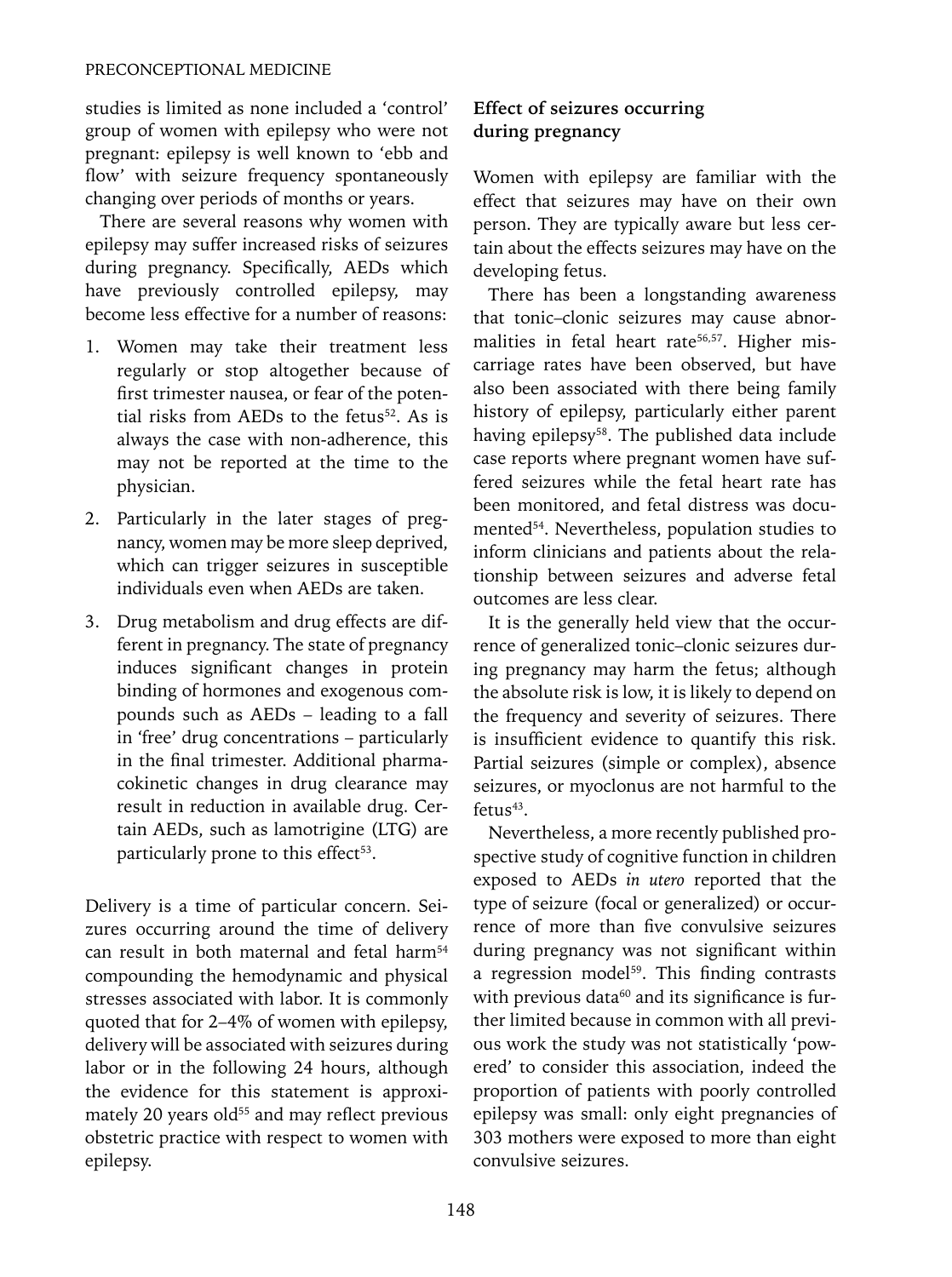studies is limited as none included a 'control' group of women with epilepsy who were not pregnant: epilepsy is well known to 'ebb and flow' with seizure frequency spontaneously changing over periods of months or years.

There are several reasons why women with epilepsy may suffer increased risks of seizures during pregnancy. Specifically, AEDs which have previously controlled epilepsy, may become less effective for a number of reasons:

- 1. Women may take their treatment less regularly or stop altogether because of first trimester nausea, or fear of the potential risks from AEDs to the fetus<sup>52</sup>. As is always the case with non-adherence, this may not be reported at the time to the physician.
- 2. Particularly in the later stages of pregnancy, women may be more sleep deprived, which can trigger seizures in susceptible individuals even when AEDs are taken.
- 3. Drug metabolism and drug effects are different in pregnancy. The state of pregnancy induces significant changes in protein binding of hormones and exogenous compounds such as AEDs – leading to a fall in 'free' drug concentrations – particularly in the final trimester. Additional pharmacokinetic changes in drug clearance may result in reduction in available drug. Certain AEDs, such as lamotrigine (LTG) are particularly prone to this effect<sup>53</sup>.

Delivery is a time of particular concern. Seizures occurring around the time of delivery can result in both maternal and fetal harm<sup>54</sup> compounding the hemodynamic and physical stresses associated with labor. It is commonly quoted that for 2–4% of women with epilepsy, delivery will be associated with seizures during labor or in the following 24 hours, although the evidence for this statement is approximately 20 years old<sup>55</sup> and may reflect previous obstetric practice with respect to women with epilepsy.

# **Effect of seizures occurring during pregnancy**

Women with epilepsy are familiar with the effect that seizures may have on their own person. They are typically aware but less certain about the effects seizures may have on the developing fetus.

There has been a longstanding awareness that tonic–clonic seizures may cause abnormalities in fetal heart rate<sup>56,57</sup>. Higher miscarriage rates have been observed, but have also been associated with there being family history of epilepsy, particularly either parent having epilepsy<sup>58</sup>. The published data include case reports where pregnant women have suffered seizures while the fetal heart rate has been monitored, and fetal distress was documented<sup>54</sup>. Nevertheless, population studies to inform clinicians and patients about the relationship between seizures and adverse fetal outcomes are less clear.

It is the generally held view that the occurrence of generalized tonic–clonic seizures during pregnancy may harm the fetus; although the absolute risk is low, it is likely to depend on the frequency and severity of seizures. There is insufficient evidence to quantify this risk. Partial seizures (simple or complex), absence seizures, or myoclonus are not harmful to the  $fetus<sup>43</sup>$ .

Nevertheless, a more recently published prospective study of cognitive function in children exposed to AEDs *in utero* reported that the type of seizure (focal or generalized) or occurrence of more than five convulsive seizures during pregnancy was not significant within a regression model $59$ . This finding contrasts with previous data<sup>60</sup> and its significance is further limited because in common with all previous work the study was not statistically 'powered' to consider this association, indeed the proportion of patients with poorly controlled epilepsy was small: only eight pregnancies of 303 mothers were exposed to more than eight convulsive seizures.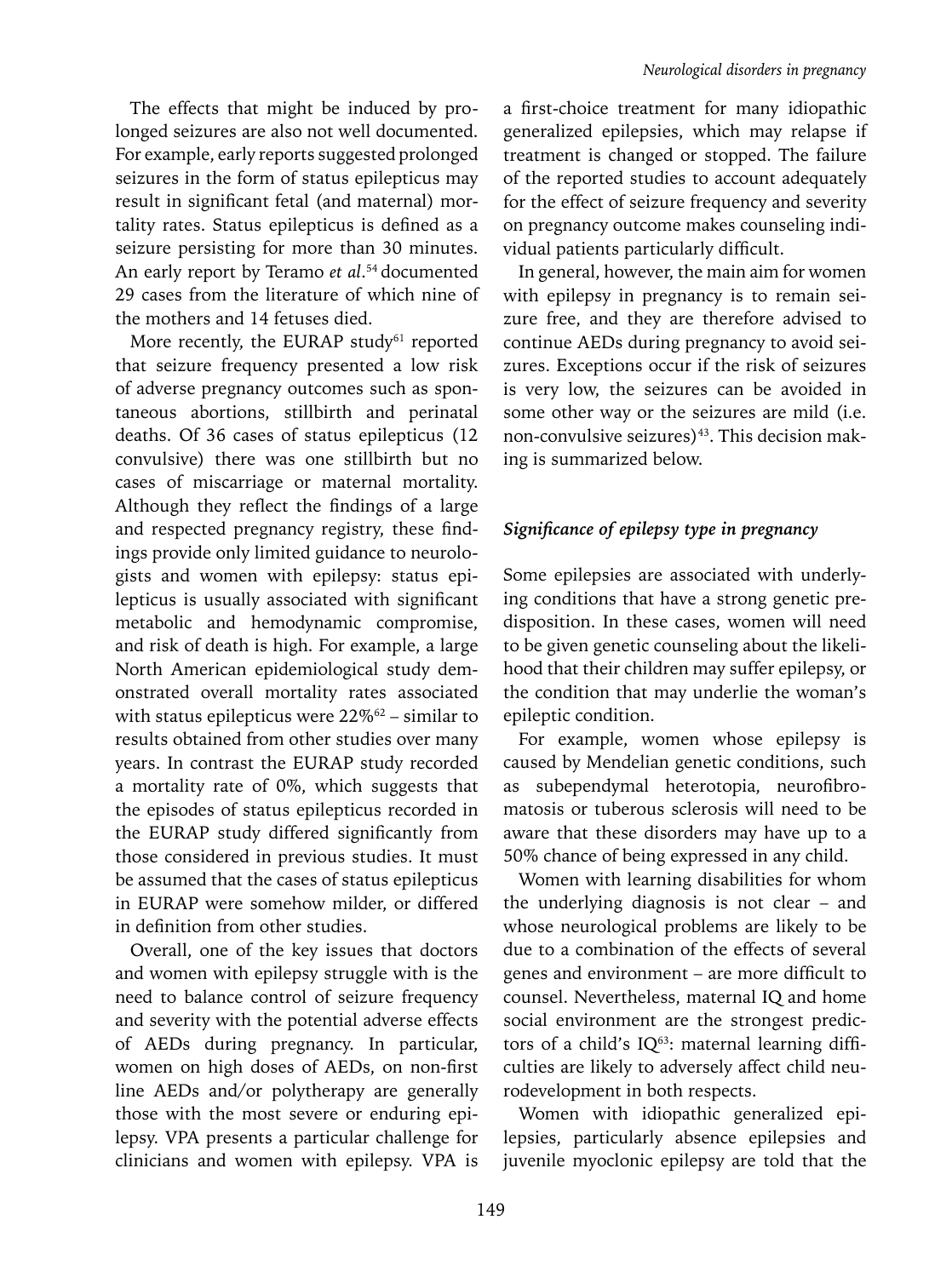The effects that might be induced by prolonged seizures are also not well documented. For example, early reports suggested prolonged seizures in the form of status epilepticus may result in significant fetal (and maternal) mortality rates. Status epilepticus is defined as a seizure persisting for more than 30 minutes. An early report by Teramo *et al*. 54 documented 29 cases from the literature of which nine of the mothers and 14 fetuses died.

More recently, the EURAP study<sup>61</sup> reported that seizure frequency presented a low risk of adverse pregnancy outcomes such as spontaneous abortions, stillbirth and perinatal deaths. Of 36 cases of status epilepticus (12 convulsive) there was one stillbirth but no cases of miscarriage or maternal mortality. Although they reflect the findings of a large and respected pregnancy registry, these findings provide only limited guidance to neurologists and women with epilepsy: status epilepticus is usually associated with significant metabolic and hemodynamic compromise, and risk of death is high. For example, a large North American epidemiological study demonstrated overall mortality rates associated with status epilepticus were 22%<sup>62</sup> – similar to results obtained from other studies over many years. In contrast the EURAP study recorded a mortality rate of 0%, which suggests that the episodes of status epilepticus recorded in the EURAP study differed significantly from those considered in previous studies. It must be assumed that the cases of status epilepticus in EURAP were somehow milder, or differed in definition from other studies.

Overall, one of the key issues that doctors and women with epilepsy struggle with is the need to balance control of seizure frequency and severity with the potential adverse effects of AEDs during pregnancy. In particular, women on high doses of AEDs, on non-first line AEDs and/or polytherapy are generally those with the most severe or enduring epilepsy. VPA presents a particular challenge for clinicians and women with epilepsy. VPA is

a first-choice treatment for many idiopathic generalized epilepsies, which may relapse if treatment is changed or stopped. The failure of the reported studies to account adequately for the effect of seizure frequency and severity on pregnancy outcome makes counseling individual patients particularly difficult.

In general, however, the main aim for women with epilepsy in pregnancy is to remain seizure free, and they are therefore advised to continue AEDs during pregnancy to avoid seizures. Exceptions occur if the risk of seizures is very low, the seizures can be avoided in some other way or the seizures are mild (i.e. non-convulsive seizures)<sup>43</sup>. This decision making is summarized below.

# *Significance of epilepsy type in pregnancy*

Some epilepsies are associated with underlying conditions that have a strong genetic predisposition. In these cases, women will need to be given genetic counseling about the likelihood that their children may suffer epilepsy, or the condition that may underlie the woman's epileptic condition.

For example, women whose epilepsy is caused by Mendelian genetic conditions, such as subependymal heterotopia, neurofibromatosis or tuberous sclerosis will need to be aware that these disorders may have up to a 50% chance of being expressed in any child.

Women with learning disabilities for whom the underlying diagnosis is not clear – and whose neurological problems are likely to be due to a combination of the effects of several genes and environment – are more difficult to counsel. Nevertheless, maternal IQ and home social environment are the strongest predictors of a child's  $IQ^{63}$ : maternal learning difficulties are likely to adversely affect child neurodevelopment in both respects.

Women with idiopathic generalized epilepsies, particularly absence epilepsies and juvenile myoclonic epilepsy are told that the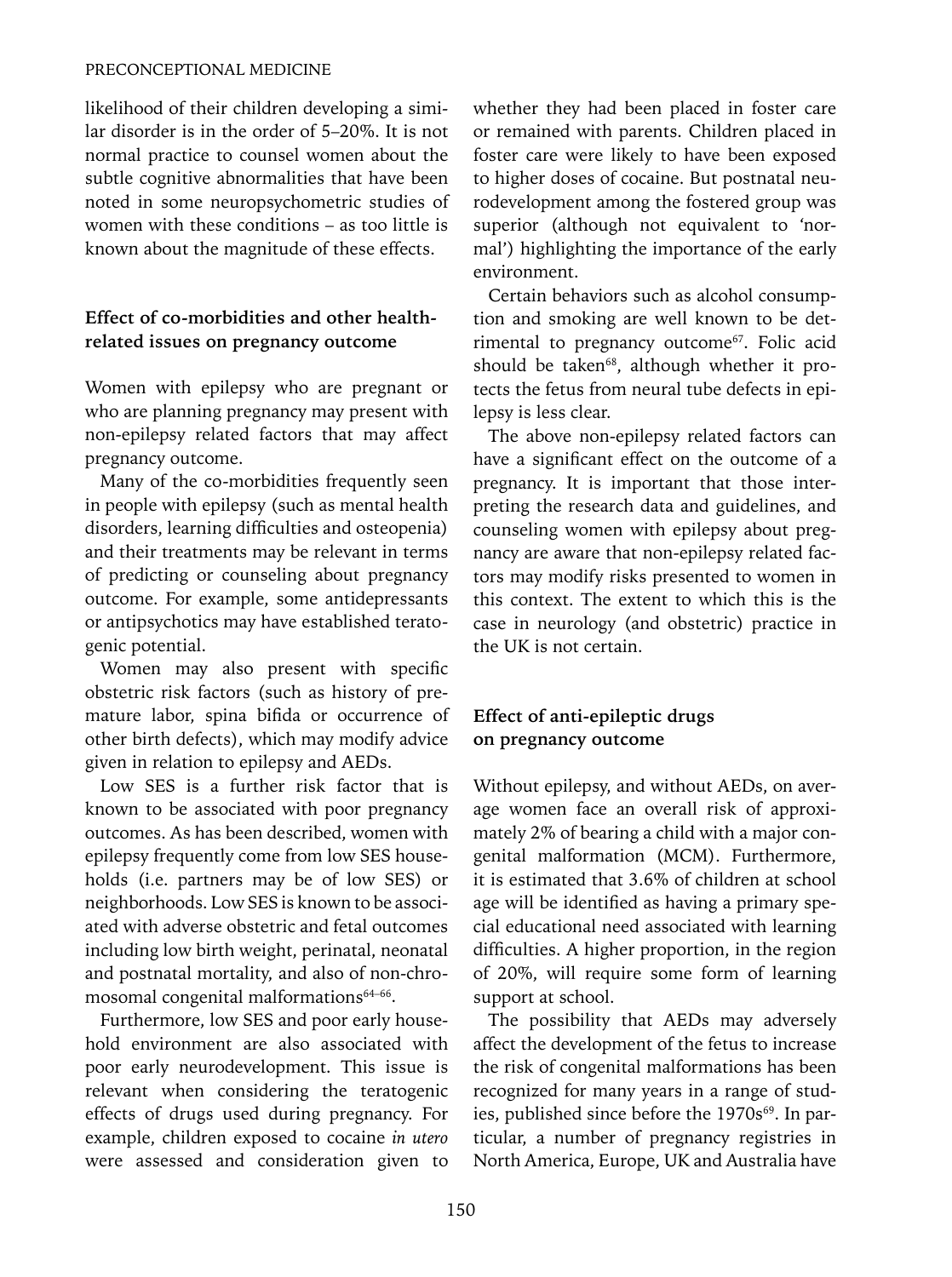#### PRECONCEPTIONAL MEDICINE

likelihood of their children developing a similar disorder is in the order of 5–20%. It is not normal practice to counsel women about the subtle cognitive abnormalities that have been noted in some neuropsychometric studies of women with these conditions – as too little is known about the magnitude of these effects.

# **Effect of co-morbidities and other healthrelated issues on pregnancy outcome**

Women with epilepsy who are pregnant or who are planning pregnancy may present with non-epilepsy related factors that may affect pregnancy outcome.

Many of the co-morbidities frequently seen in people with epilepsy (such as mental health disorders, learning difficulties and osteopenia) and their treatments may be relevant in terms of predicting or counseling about pregnancy outcome. For example, some antidepressants or antipsychotics may have established teratogenic potential.

Women may also present with specific obstetric risk factors (such as history of premature labor, spina bifida or occurrence of other birth defects), which may modify advice given in relation to epilepsy and AEDs.

Low SES is a further risk factor that is known to be associated with poor pregnancy outcomes. As has been described, women with epilepsy frequently come from low SES households (i.e. partners may be of low SES) or neighborhoods. Low SES is known to be associated with adverse obstetric and fetal outcomes including low birth weight, perinatal, neonatal and postnatal mortality, and also of non-chromosomal congenital malformations<sup>64-66</sup>.

Furthermore, low SES and poor early household environment are also associated with poor early neurodevelopment. This issue is relevant when considering the teratogenic effects of drugs used during pregnancy. For example, children exposed to cocaine *in utero* were assessed and consideration given to whether they had been placed in foster care or remained with parents. Children placed in foster care were likely to have been exposed to higher doses of cocaine. But postnatal neurodevelopment among the fostered group was superior (although not equivalent to 'normal') highlighting the importance of the early environment.

Certain behaviors such as alcohol consumption and smoking are well known to be detrimental to pregnancy outcome<sup>67</sup>. Folic acid should be taken<sup>68</sup>, although whether it protects the fetus from neural tube defects in epilepsy is less clear.

The above non-epilepsy related factors can have a significant effect on the outcome of a pregnancy. It is important that those interpreting the research data and guidelines, and counseling women with epilepsy about pregnancy are aware that non-epilepsy related factors may modify risks presented to women in this context. The extent to which this is the case in neurology (and obstetric) practice in the UK is not certain.

# **Effect of anti-epileptic drugs on pregnancy outcome**

Without epilepsy, and without AEDs, on average women face an overall risk of approximately 2% of bearing a child with a major congenital malformation (MCM). Furthermore, it is estimated that 3.6% of children at school age will be identified as having a primary special educational need associated with learning difficulties. A higher proportion, in the region of 20%, will require some form of learning support at school.

The possibility that AEDs may adversely affect the development of the fetus to increase the risk of congenital malformations has been recognized for many years in a range of studies, published since before the 1970s<sup>69</sup>. In particular, a number of pregnancy registries in North America, Europe, UK and Australia have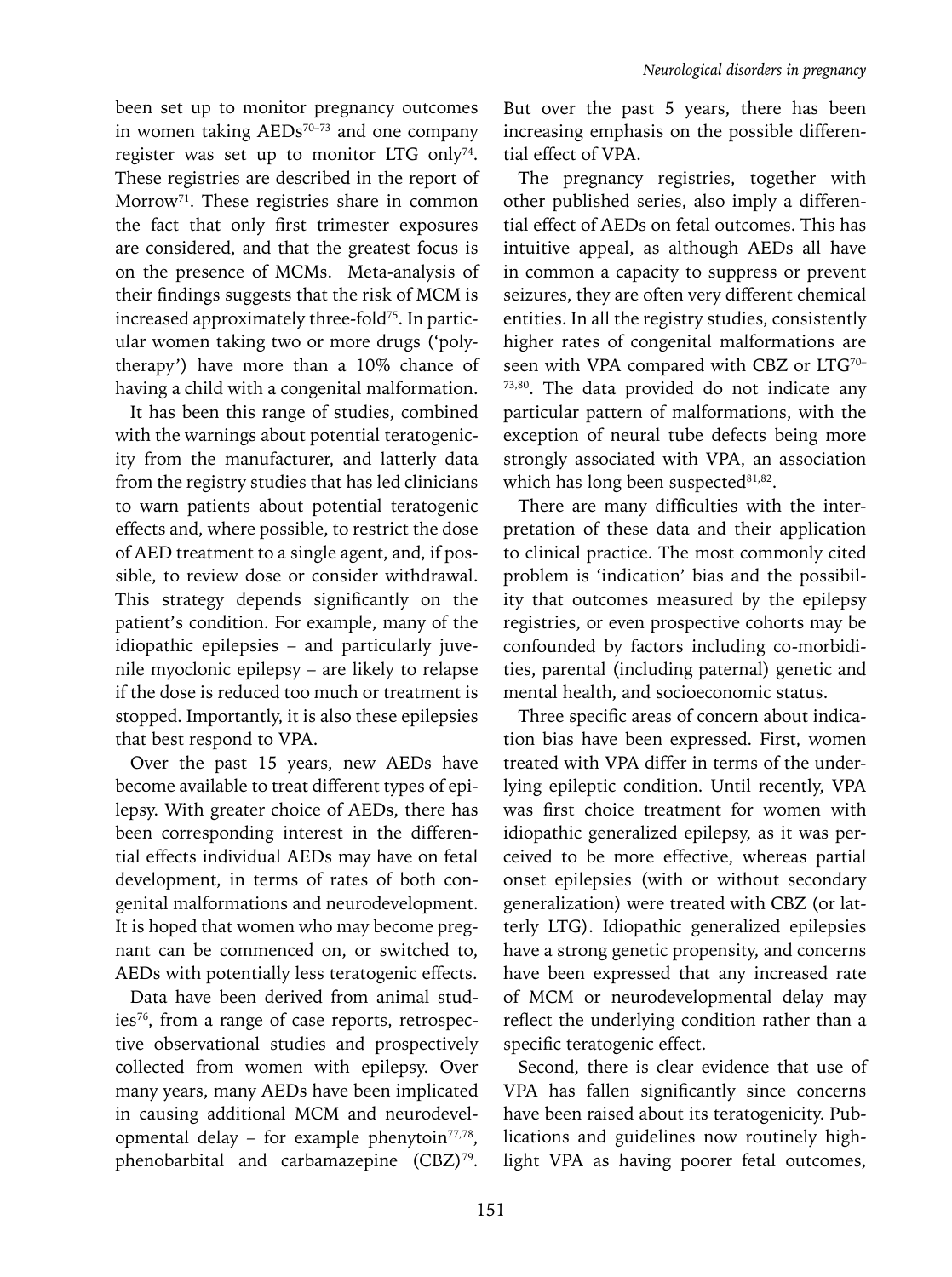been set up to monitor pregnancy outcomes in women taking AEDs<sup>70-73</sup> and one company register was set up to monitor LTG only<sup>74</sup>. These registries are described in the report of Morrow<sup>71</sup>. These registries share in common the fact that only first trimester exposures are considered, and that the greatest focus is on the presence of MCMs. Meta-analysis of their findings suggests that the risk of MCM is increased approximately three-fold<sup>75</sup>. In particular women taking two or more drugs ('polytherapy') have more than a 10% chance of having a child with a congenital malformation.

It has been this range of studies, combined with the warnings about potential teratogenicity from the manufacturer, and latterly data from the registry studies that has led clinicians to warn patients about potential teratogenic effects and, where possible, to restrict the dose of AED treatment to a single agent, and, if possible, to review dose or consider withdrawal. This strategy depends significantly on the patient's condition. For example, many of the idiopathic epilepsies – and particularly juvenile myoclonic epilepsy – are likely to relapse if the dose is reduced too much or treatment is stopped. Importantly, it is also these epilepsies that best respond to VPA.

Over the past 15 years, new AEDs have become available to treat different types of epilepsy. With greater choice of AEDs, there has been corresponding interest in the differential effects individual AEDs may have on fetal development, in terms of rates of both congenital malformations and neurodevelopment. It is hoped that women who may become pregnant can be commenced on, or switched to, AEDs with potentially less teratogenic effects.

Data have been derived from animal studies<sup>76</sup>, from a range of case reports, retrospective observational studies and prospectively collected from women with epilepsy. Over many years, many AEDs have been implicated in causing additional MCM and neurodevelopmental delay – for example phenytoin $77,78$ , phenobarbital and carbamazepine (CBZ)<sup>79</sup>.

But over the past 5 years, there has been increasing emphasis on the possible differential effect of VPA.

The pregnancy registries, together with other published series, also imply a differential effect of AEDs on fetal outcomes. This has intuitive appeal, as although AEDs all have in common a capacity to suppress or prevent seizures, they are often very different chemical entities. In all the registry studies, consistently higher rates of congenital malformations are seen with VPA compared with CBZ or LTG<sup>70-</sup> 73,80. The data provided do not indicate any particular pattern of malformations, with the exception of neural tube defects being more strongly associated with VPA, an association which has long been suspected<sup>81,82</sup>.

There are many difficulties with the interpretation of these data and their application to clinical practice. The most commonly cited problem is 'indication' bias and the possibility that outcomes measured by the epilepsy registries, or even prospective cohorts may be confounded by factors including co-morbidities, parental (including paternal) genetic and mental health, and socioeconomic status.

Three specific areas of concern about indication bias have been expressed. First, women treated with VPA differ in terms of the underlying epileptic condition. Until recently, VPA was first choice treatment for women with idiopathic generalized epilepsy, as it was perceived to be more effective, whereas partial onset epilepsies (with or without secondary generalization) were treated with CBZ (or latterly LTG). Idiopathic generalized epilepsies have a strong genetic propensity, and concerns have been expressed that any increased rate of MCM or neurodevelopmental delay may reflect the underlying condition rather than a specific teratogenic effect.

Second, there is clear evidence that use of VPA has fallen significantly since concerns have been raised about its teratogenicity. Publications and guidelines now routinely highlight VPA as having poorer fetal outcomes,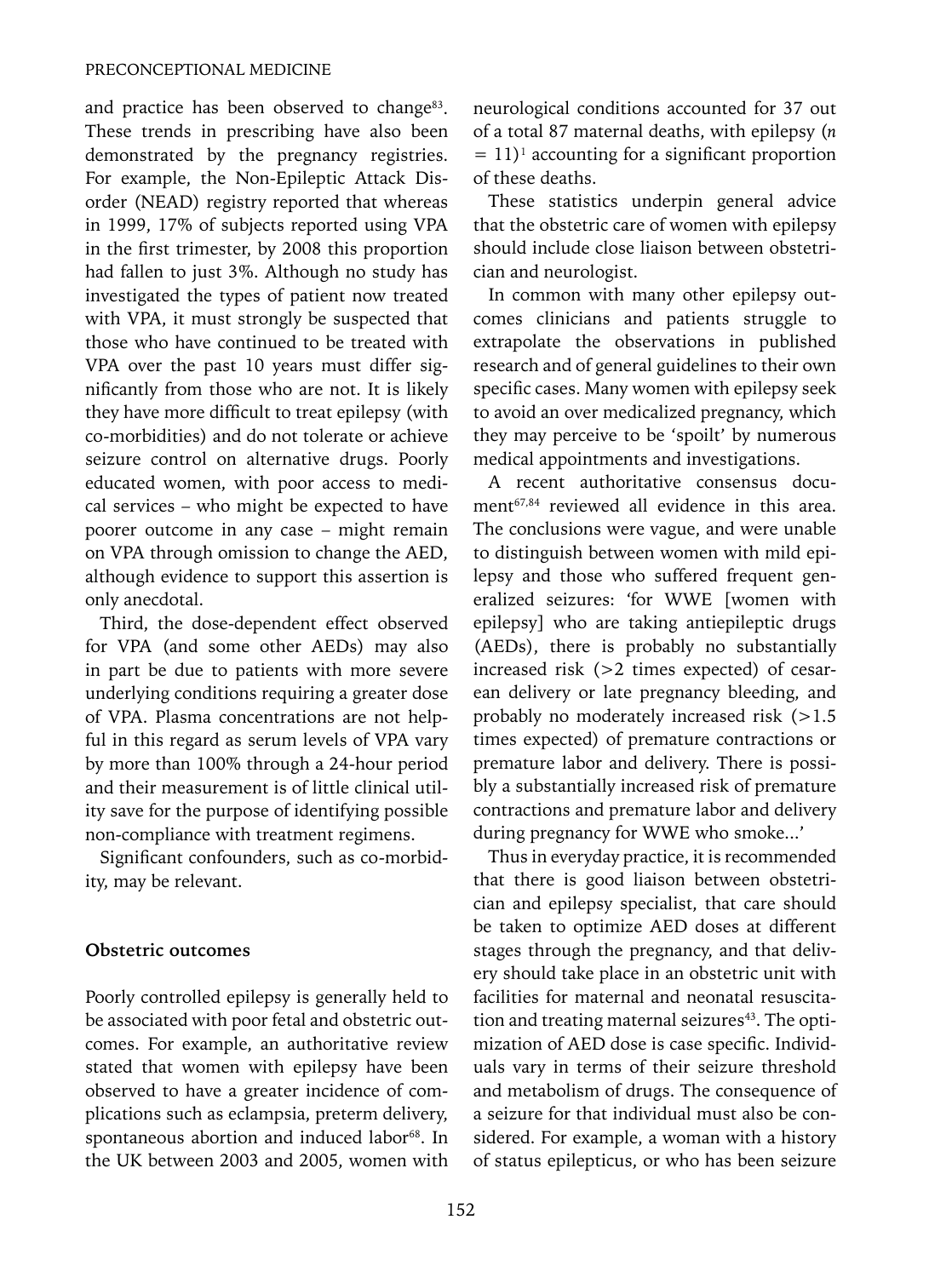and practice has been observed to change<sup>83</sup>. These trends in prescribing have also been demonstrated by the pregnancy registries. For example, the Non-Epileptic Attack Disorder (NEAD) registry reported that whereas in 1999, 17% of subjects reported using VPA in the first trimester, by 2008 this proportion had fallen to just 3%. Although no study has investigated the types of patient now treated with VPA, it must strongly be suspected that those who have continued to be treated with VPA over the past 10 years must differ significantly from those who are not. It is likely they have more difficult to treat epilepsy (with co-morbidities) and do not tolerate or achieve seizure control on alternative drugs. Poorly educated women, with poor access to medical services – who might be expected to have poorer outcome in any case – might remain on VPA through omission to change the AED, although evidence to support this assertion is only anecdotal.

Third, the dose-dependent effect observed for VPA (and some other AEDs) may also in part be due to patients with more severe underlying conditions requiring a greater dose of VPA. Plasma concentrations are not helpful in this regard as serum levels of VPA vary by more than 100% through a 24-hour period and their measurement is of little clinical utility save for the purpose of identifying possible non-compliance with treatment regimens.

Significant confounders, such as co-morbidity, may be relevant.

#### **Obstetric outcomes**

Poorly controlled epilepsy is generally held to be associated with poor fetal and obstetric outcomes. For example, an authoritative review stated that women with epilepsy have been observed to have a greater incidence of complications such as eclampsia, preterm delivery, spontaneous abortion and induced labor<sup>68</sup>. In the UK between 2003 and 2005, women with neurological conditions accounted for 37 out of a total 87 maternal deaths, with epilepsy (*n*  $= 11$ <sup>1</sup> accounting for a significant proportion of these deaths.

These statistics underpin general advice that the obstetric care of women with epilepsy should include close liaison between obstetrician and neurologist.

In common with many other epilepsy outcomes clinicians and patients struggle to extrapolate the observations in published research and of general guidelines to their own specific cases. Many women with epilepsy seek to avoid an over medicalized pregnancy, which they may perceive to be 'spoilt' by numerous medical appointments and investigations.

A recent authoritative consensus document<sup>67,84</sup> reviewed all evidence in this area. The conclusions were vague, and were unable to distinguish between women with mild epilepsy and those who suffered frequent generalized seizures: 'for WWE [women with epilepsy] who are taking antiepileptic drugs (AEDs), there is probably no substantially increased risk (>2 times expected) of cesarean delivery or late pregnancy bleeding, and probably no moderately increased risk (>1.5 times expected) of premature contractions or premature labor and delivery. There is possibly a substantially increased risk of premature contractions and premature labor and delivery during pregnancy for WWE who smoke...'

Thus in everyday practice, it is recommended that there is good liaison between obstetrician and epilepsy specialist, that care should be taken to optimize AED doses at different stages through the pregnancy, and that delivery should take place in an obstetric unit with facilities for maternal and neonatal resuscitation and treating maternal seizures<sup>43</sup>. The optimization of AED dose is case specific. Individuals vary in terms of their seizure threshold and metabolism of drugs. The consequence of a seizure for that individual must also be considered. For example, a woman with a history of status epilepticus, or who has been seizure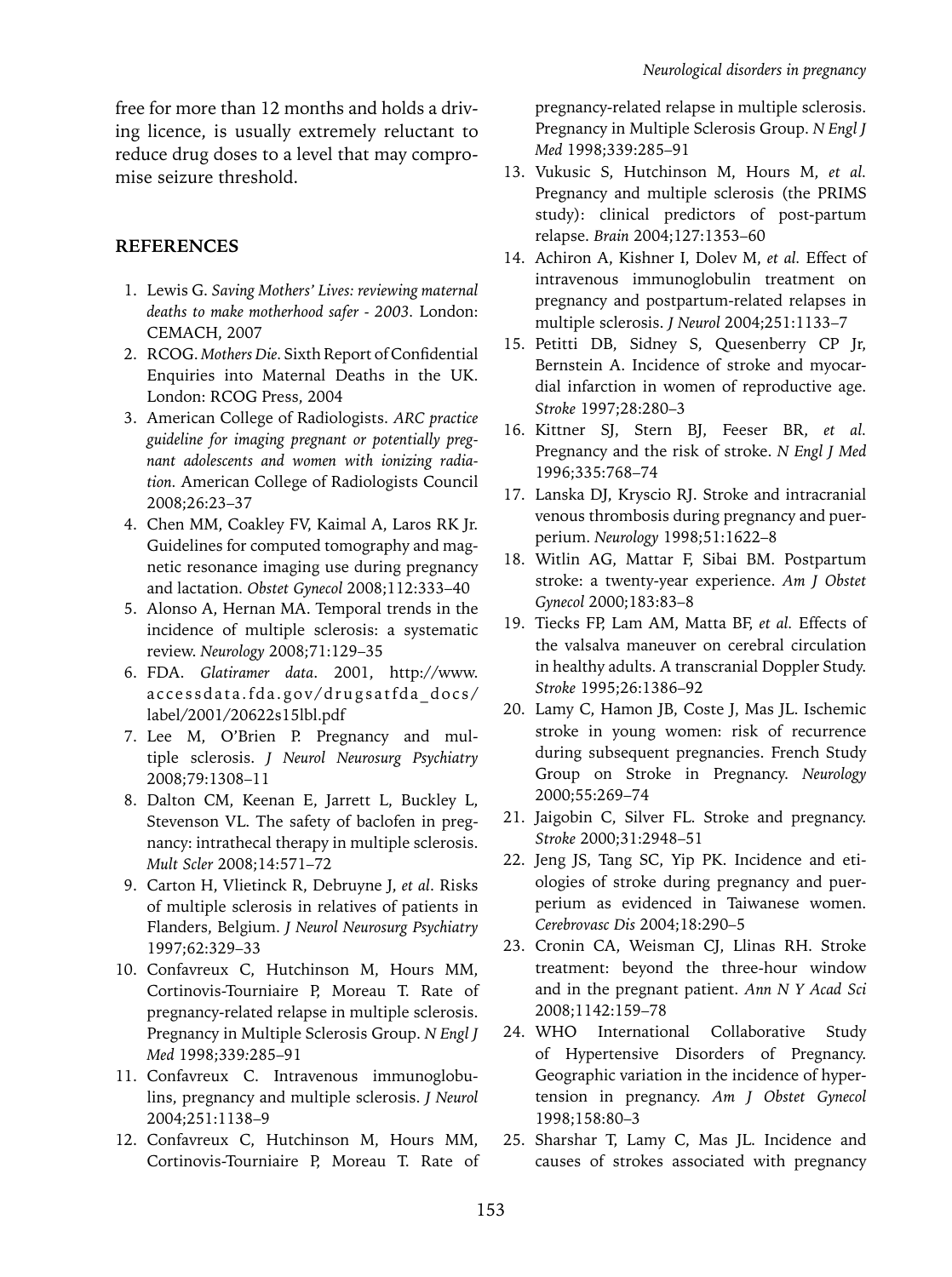free for more than 12 months and holds a driving licence, is usually extremely reluctant to reduce drug doses to a level that may compromise seizure threshold.

# **References**

- 1. Lewis G. *Saving Mothers' Lives: reviewing maternal deaths to make motherhood safer - 2003.* London: CEMACH, 2007
- 2. RCOG. *Mothers Die.* Sixth Report of Confidential Enquiries into Maternal Deaths in the UK. London: RCOG Press, 2004
- 3. American College of Radiologists. *ARC practice guideline for imaging pregnant or potentially pregnant adolescents and women with ionizing radiation.* American College of Radiologists Council 2008;26:23–37
- 4. Chen MM, Coakley FV, Kaimal A, Laros RK Jr. Guidelines for computed tomography and magnetic resonance imaging use during pregnancy and lactation. *Obstet Gynecol* 2008;112:333–40
- 5. Alonso A, Hernan MA. Temporal trends in the incidence of multiple sclerosis: a systematic review. *Neurology* 2008;71:129–35
- 6. FDA. *Glatiramer data*. 2001, http://www. accessdata.fda.gov/drugsatfda\_docs/ label/2001/20622s15lbl.pdf
- 7. Lee M, O'Brien P. Pregnancy and multiple sclerosis. *J Neurol Neurosurg Psychiatry* 2008;79:1308–11
- 8. Dalton CM, Keenan E, Jarrett L, Buckley L, Stevenson VL. The safety of baclofen in pregnancy: intrathecal therapy in multiple sclerosis. *Mult Scler* 2008;14:571–72
- 9. Carton H, Vlietinck R, Debruyne J, *et al*. Risks of multiple sclerosis in relatives of patients in Flanders, Belgium. *J Neurol Neurosurg Psychiatry* 1997;62:329–33
- 10. Confavreux C, Hutchinson M, Hours MM, Cortinovis-Tourniaire P, Moreau T. Rate of pregnancy-related relapse in multiple sclerosis. Pregnancy in Multiple Sclerosis Group. *N Engl J Med* 1998;339*:*285–91
- 11. Confavreux C. Intravenous immunoglobulins, pregnancy and multiple sclerosis. *J Neurol* 2004;251:1138–9
- 12. Confavreux C, Hutchinson M, Hours MM, Cortinovis-Tourniaire P, Moreau T. Rate of

pregnancy-related relapse in multiple sclerosis. Pregnancy in Multiple Sclerosis Group. *N Engl J Med* 1998;339:285–91

- 13. Vukusic S, Hutchinson M, Hours M, *et al.* Pregnancy and multiple sclerosis (the PRIMS study): clinical predictors of post-partum relapse. *Brain* 2004;127:1353–60
- 14. Achiron A, Kishner I, Dolev M, *et al.* Effect of intravenous immunoglobulin treatment on pregnancy and postpartum-related relapses in multiple sclerosis. *J Neurol* 2004;251:1133–7
- 15. Petitti DB, Sidney S, Quesenberry CP Jr, Bernstein A. Incidence of stroke and myocardial infarction in women of reproductive age. *Stroke* 1997;28:280–3
- 16. Kittner SJ, Stern BJ, Feeser BR, *et al.* Pregnancy and the risk of stroke. *N Engl J Med* 1996;335:768–74
- 17. Lanska DJ, Kryscio RJ. Stroke and intracranial venous thrombosis during pregnancy and puerperium. *Neurology* 1998;51:1622–8
- 18. Witlin AG, Mattar F, Sibai BM. Postpartum stroke: a twenty-year experience. *Am J Obstet Gynecol* 2000;183:83–8
- 19. Tiecks FP, Lam AM, Matta BF, *et al.* Effects of the valsalva maneuver on cerebral circulation in healthy adults. A transcranial Doppler Study. *Stroke* 1995;26:1386–92
- 20. Lamy C, Hamon JB, Coste J, Mas JL. Ischemic stroke in young women: risk of recurrence during subsequent pregnancies. French Study Group on Stroke in Pregnancy. *Neurology* 2000;55:269–74
- 21. Jaigobin C, Silver FL. Stroke and pregnancy. *Stroke* 2000;31:2948–51
- 22. Jeng JS, Tang SC, Yip PK. Incidence and etiologies of stroke during pregnancy and puerperium as evidenced in Taiwanese women. *Cerebrovasc Dis* 2004;18:290–5
- 23. Cronin CA, Weisman CJ, Llinas RH. Stroke treatment: beyond the three-hour window and in the pregnant patient. *Ann N Y Acad Sci*  2008;1142:159–78
- 24. WHO International Collaborative Study of Hypertensive Disorders of Pregnancy. Geographic variation in the incidence of hypertension in pregnancy. *Am J Obstet Gynecol*  1998;158:80–3
- 25. Sharshar T, Lamy C, Mas JL. Incidence and causes of strokes associated with pregnancy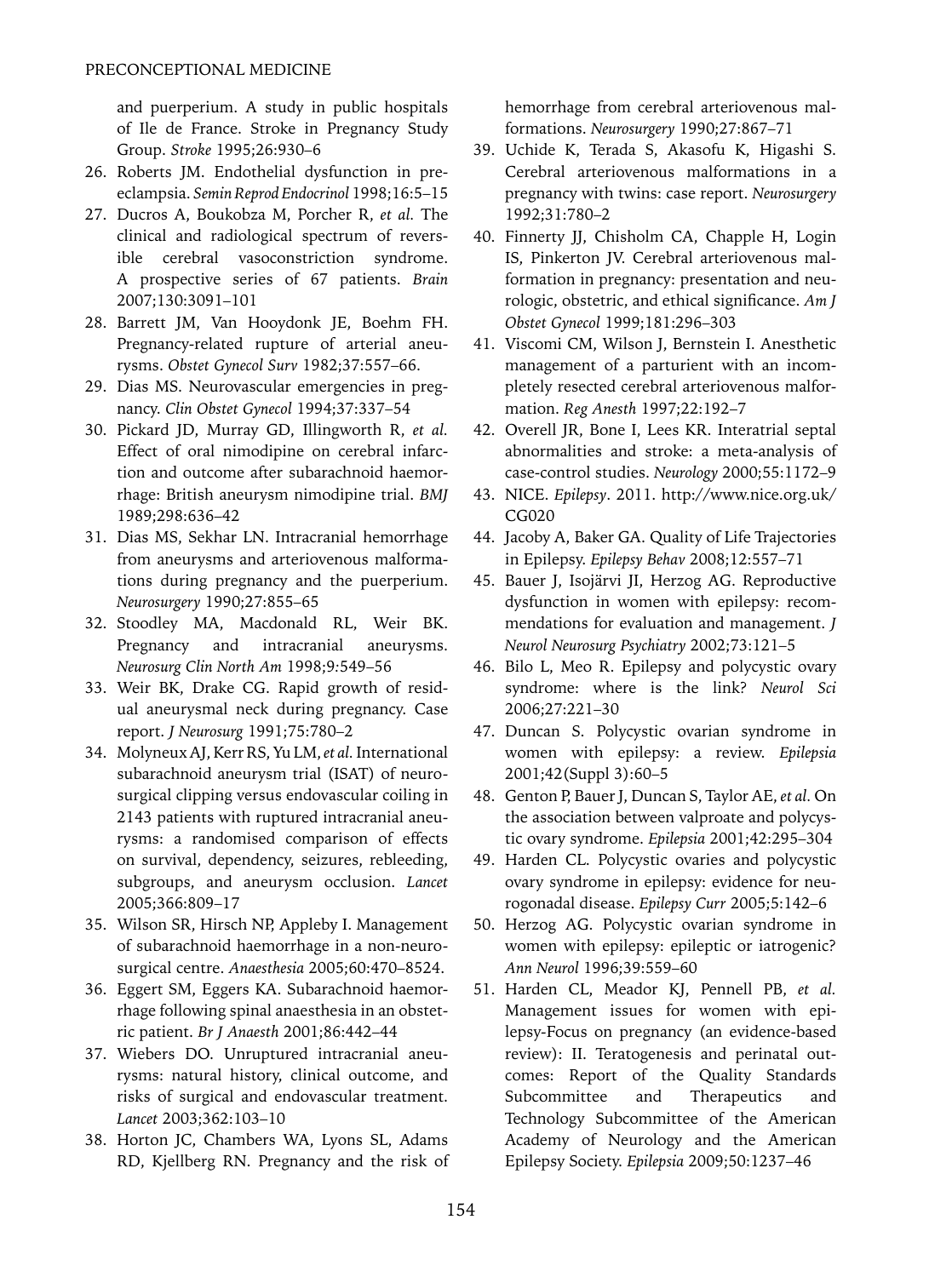and puerperium. A study in public hospitals of Ile de France. Stroke in Pregnancy Study Group. *Stroke* 1995;26:930–6

- 26. Roberts JM. Endothelial dysfunction in preeclampsia. *Semin Reprod Endocrinol* 1998;16:5–15
- 27. Ducros A, Boukobza M, Porcher R, *et al.* The clinical and radiological spectrum of reversible cerebral vasoconstriction syndrome. A prospective series of 67 patients. *Brain* 2007;130:3091–101
- 28. Barrett JM, Van Hooydonk JE, Boehm FH. Pregnancy-related rupture of arterial aneurysms. *Obstet Gynecol Surv* 1982;37:557–66.
- 29. Dias MS. Neurovascular emergencies in pregnancy. *Clin Obstet Gynecol* 1994;37:337–54
- 30. Pickard JD, Murray GD, Illingworth R, *et al.* Effect of oral nimodipine on cerebral infarction and outcome after subarachnoid haemorrhage: British aneurysm nimodipine trial. *BMJ* 1989;298:636–42
- 31. Dias MS, Sekhar LN. Intracranial hemorrhage from aneurysms and arteriovenous malformations during pregnancy and the puerperium. *Neurosurgery* 1990;27:855–65
- 32. Stoodley MA, Macdonald RL, Weir BK. Pregnancy and intracranial aneurysms. *Neurosurg Clin North Am* 1998;9*:*549–56
- 33. Weir BK, Drake CG. Rapid growth of residual aneurysmal neck during pregnancy. Case report. *J Neurosurg* 1991;75:780–2
- 34. Molyneux AJ, Kerr RS, Yu LM, *et al.* International subarachnoid aneurysm trial (ISAT) of neurosurgical clipping versus endovascular coiling in 2143 patients with ruptured intracranial aneurysms: a randomised comparison of effects on survival, dependency, seizures, rebleeding, subgroups, and aneurysm occlusion. *Lancet* 2005;366:809–17
- 35. Wilson SR, Hirsch NP, Appleby I. Management of subarachnoid haemorrhage in a non-neurosurgical centre. *Anaesthesia* 2005;60:470–8524.
- 36. Eggert SM, Eggers KA. Subarachnoid haemorrhage following spinal anaesthesia in an obstetric patient. *Br J Anaesth* 2001;86:442–44
- 37. Wiebers DO. Unruptured intracranial aneurysms: natural history, clinical outcome, and risks of surgical and endovascular treatment. *Lancet* 2003;362:103–10
- 38. Horton JC, Chambers WA, Lyons SL, Adams RD, Kjellberg RN. Pregnancy and the risk of

hemorrhage from cerebral arteriovenous malformations. *Neurosurgery* 1990;27:867–71

- 39. Uchide K, Terada S, Akasofu K, Higashi S. Cerebral arteriovenous malformations in a pregnancy with twins: case report. *Neurosurgery* 1992;31:780–2
- 40. Finnerty JJ, Chisholm CA, Chapple H, Login IS, Pinkerton JV. Cerebral arteriovenous malformation in pregnancy: presentation and neurologic, obstetric, and ethical significance. *Am J Obstet Gynecol* 1999;181:296–303
- 41. Viscomi CM, Wilson J, Bernstein I. Anesthetic management of a parturient with an incompletely resected cerebral arteriovenous malformation. *Reg Anesth* 1997;22:192–7
- 42. Overell JR, Bone I, Lees KR. Interatrial septal abnormalities and stroke: a meta-analysis of case-control studies. *Neurology* 2000;55:1172–9
- 43. NICE. *Epilepsy*. 2011. http://www.nice.org.uk/ CG020
- 44. Jacoby A, Baker GA. Quality of Life Trajectories in Epilepsy. *Epilepsy Behav* 2008;12:557–71
- 45. Bauer J, Isojärvi JI, Herzog AG. Reproductive dysfunction in women with epilepsy: recommendations for evaluation and management. *J Neurol Neurosurg Psychiatry* 2002;73:121–5
- 46. Bilo L, Meo R. Epilepsy and polycystic ovary syndrome: where is the link? *Neurol Sci* 2006;27:221–30
- 47. Duncan S. Polycystic ovarian syndrome in women with epilepsy: a review. *Epilepsia* 2001;42(Suppl 3):60–5
- 48. Genton P, Bauer J, Duncan S, Taylor AE, *et al.* On the association between valproate and polycystic ovary syndrome. *Epilepsia* 2001;42:295–304
- 49. Harden CL. Polycystic ovaries and polycystic ovary syndrome in epilepsy: evidence for neurogonadal disease. *Epilepsy Curr* 2005;5:142–6
- 50. Herzog AG. Polycystic ovarian syndrome in women with epilepsy: epileptic or iatrogenic? *Ann Neurol* 1996;39:559–60
- 51. Harden CL, Meador KJ, Pennell PB, *et al.*  Management issues for women with epilepsy-Focus on pregnancy (an evidence-based review): II. Teratogenesis and perinatal outcomes: Report of the Quality Standards Subcommittee and Therapeutics and Technology Subcommittee of the American Academy of Neurology and the American Epilepsy Society. *Epilepsia* 2009;50:1237–46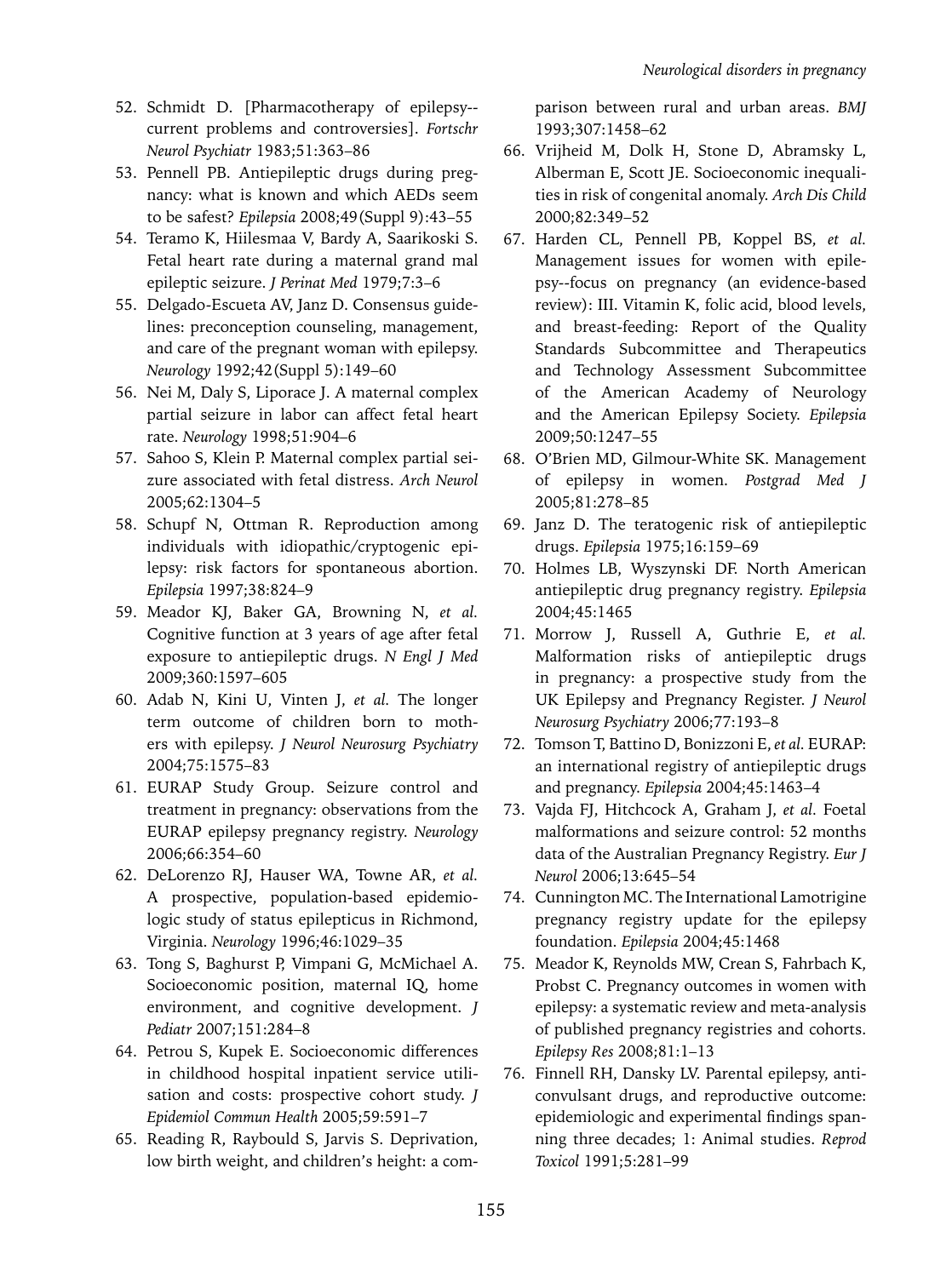- 52. Schmidt D. [Pharmacotherapy of epilepsy- current problems and controversies]. *Fortschr Neurol Psychiatr* 1983;51:363–86
- 53. Pennell PB. Antiepileptic drugs during pregnancy: what is known and which AEDs seem to be safest? *Epilepsia* 2008;49(Suppl 9):43–55
- 54. Teramo K, Hiilesmaa V, Bardy A, Saarikoski S. Fetal heart rate during a maternal grand mal epileptic seizure. *J Perinat Med* 1979;7:3–6
- 55. Delgado-Escueta AV, Janz D. Consensus guidelines: preconception counseling, management, and care of the pregnant woman with epilepsy. *Neurology* 1992;42(Suppl 5):149–60
- 56. Nei M, Daly S, Liporace J. A maternal complex partial seizure in labor can affect fetal heart rate. *Neurology* 1998;51:904–6
- 57. Sahoo S, Klein P. Maternal complex partial seizure associated with fetal distress. *Arch Neurol* 2005;62:1304–5
- 58. Schupf N, Ottman R. Reproduction among individuals with idiopathic/cryptogenic epilepsy: risk factors for spontaneous abortion. *Epilepsia* 1997;38:824–9
- 59. Meador KJ, Baker GA, Browning N, *et al.*  Cognitive function at 3 years of age after fetal exposure to antiepileptic drugs. *N Engl J Med* 2009;360:1597–605
- 60. Adab N, Kini U, Vinten J, *et al.* The longer term outcome of children born to mothers with epilepsy. *J Neurol Neurosurg Psychiatry* 2004;75:1575–83
- 61. EURAP Study Group. Seizure control and treatment in pregnancy: observations from the EURAP epilepsy pregnancy registry. *Neurology* 2006;66:354–60
- 62. DeLorenzo RJ, Hauser WA, Towne AR, *et al.*  A prospective, population-based epidemiologic study of status epilepticus in Richmond, Virginia. *Neurology* 1996;46:1029–35
- 63. Tong S, Baghurst P, Vimpani G, McMichael A. Socioeconomic position, maternal IQ, home environment, and cognitive development. *J Pediatr* 2007;151:284–8
- 64. Petrou S, Kupek E. Socioeconomic differences in childhood hospital inpatient service utilisation and costs: prospective cohort study. *J Epidemiol Commun Health* 2005;59:591–7
- 65. Reading R, Raybould S, Jarvis S. Deprivation, low birth weight, and children's height: a com-

parison between rural and urban areas. *BMJ* 1993;307:1458–62

- 66. Vrijheid M, Dolk H, Stone D, Abramsky L, Alberman E, Scott JE. Socioeconomic inequalities in risk of congenital anomaly. *Arch Dis Child*  2000;82:349–52
- 67. Harden CL, Pennell PB, Koppel BS, *et al.*  Management issues for women with epilepsy--focus on pregnancy (an evidence-based review): III. Vitamin K, folic acid, blood levels, and breast-feeding: Report of the Quality Standards Subcommittee and Therapeutics and Technology Assessment Subcommittee of the American Academy of Neurology and the American Epilepsy Society. *Epilepsia* 2009;50:1247–55
- 68. O'Brien MD, Gilmour-White SK. Management of epilepsy in women. *Postgrad Med J* 2005;81:278–85
- 69. Janz D. The teratogenic risk of antiepileptic drugs. *Epilepsia* 1975;16:159–69
- 70. Holmes LB, Wyszynski DF. North American antiepileptic drug pregnancy registry. *Epilepsia* 2004;45:1465
- 71. Morrow J, Russell A, Guthrie E, *et al.* Malformation risks of antiepileptic drugs in pregnancy: a prospective study from the UK Epilepsy and Pregnancy Register. *J Neurol Neurosurg Psychiatry* 2006;77:193–8
- 72. Tomson T, Battino D, Bonizzoni E, *et al.* EURAP: an international registry of antiepileptic drugs and pregnancy. *Epilepsia* 2004;45:1463–4
- 73. Vajda FJ, Hitchcock A, Graham J, *et al.* Foetal malformations and seizure control: 52 months data of the Australian Pregnancy Registry. *Eur J Neurol* 2006;13:645–54
- 74. Cunnington MC. The International Lamotrigine pregnancy registry update for the epilepsy foundation. *Epilepsia* 2004;45:1468
- 75. Meador K, Reynolds MW, Crean S, Fahrbach K, Probst C. Pregnancy outcomes in women with epilepsy: a systematic review and meta-analysis of published pregnancy registries and cohorts. *Epilepsy Res* 2008;81:1–13
- 76. Finnell RH, Dansky LV. Parental epilepsy, anticonvulsant drugs, and reproductive outcome: epidemiologic and experimental findings spanning three decades; 1: Animal studies. *Reprod Toxicol* 1991;5:281–99